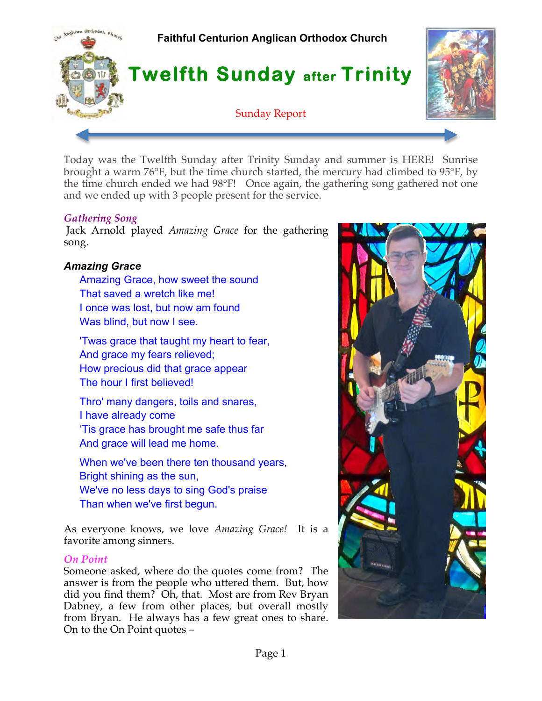

Today was the Twelfth Sunday after Trinity Sunday and summer is HERE! Sunrise brought a warm 76°F, but the time church started, the mercury had climbed to 95°F, by the time church ended we had 98°F! Once again, the gathering song gathered not one and we ended up with 3 people present for the service.

### *Gathering Song*

Jack Arnold played *Amazing Grace* for the gathering song.

### *Amazing Grace*

- Amazing Grace, how sweet the sound That saved a wretch like me! I once was lost, but now am found Was blind, but now I see.
- 'Twas grace that taught my heart to fear, And grace my fears relieved; How precious did that grace appear The hour I first believed!
- Thro' many dangers, toils and snares, I have already come 'Tis grace has brought me safe thus far And grace will lead me home.
- When we've been there ten thousand years, Bright shining as the sun, We've no less days to sing God's praise Than when we've first begun.

As everyone knows, we love *Amazing Grace!* It is a favorite among sinners.

### *On Point*

Someone asked, where do the quotes come from? The answer is from the people who uttered them. But, how did you find them? Oh, that. Most are from Rev Bryan Dabney, a few from other places, but overall mostly from Bryan. He always has a few great ones to share. On to the On Point quotes –

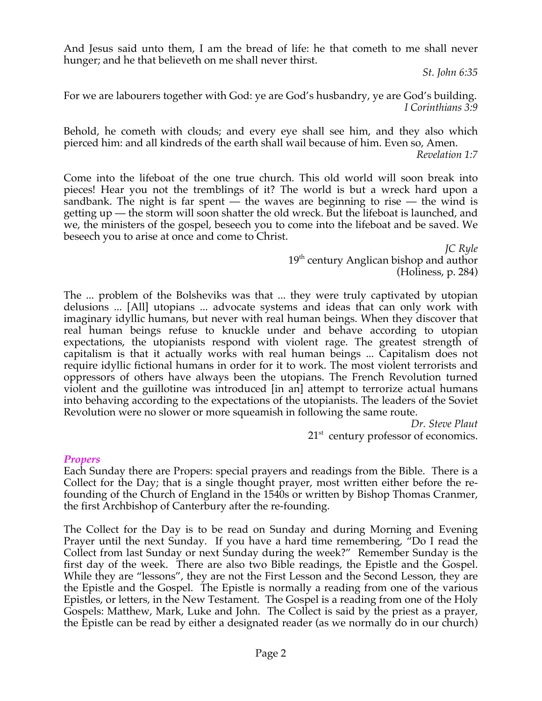And Jesus said unto them, I am the bread of life: he that cometh to me shall never hunger; and he that believeth on me shall never thirst.

*St. John 6:35* 

For we are labourers together with God: ye are God's husbandry, ye are God's building. *I Corinthians 3:9* 

Behold, he cometh with clouds; and every eye shall see him, and they also which pierced him: and all kindreds of the earth shall wail because of him. Even so, Amen.

*Revelation 1:7* 

Come into the lifeboat of the one true church. This old world will soon break into pieces! Hear you not the tremblings of it? The world is but a wreck hard upon a sandbank. The night is far spent  $-$  the waves are beginning to rise  $-$  the wind is getting up — the storm will soon shatter the old wreck. But the lifeboat is launched, and we, the ministers of the gospel, beseech you to come into the lifeboat and be saved. We beseech you to arise at once and come to Christ.

> *JC Ryle* 19<sup>th</sup> century Anglican bishop and author (Holiness, p. 284)

The ... problem of the Bolsheviks was that ... they were truly captivated by utopian delusions ... [All] utopians ... advocate systems and ideas that can only work with imaginary idyllic humans, but never with real human beings. When they discover that real human beings refuse to knuckle under and behave according to utopian expectations, the utopianists respond with violent rage. The greatest strength of capitalism is that it actually works with real human beings ... Capitalism does not require idyllic fictional humans in order for it to work. The most violent terrorists and oppressors of others have always been the utopians. The French Revolution turned violent and the guillotine was introduced [in an] attempt to terrorize actual humans into behaving according to the expectations of the utopianists. The leaders of the Soviet Revolution were no slower or more squeamish in following the same route.

> *Dr. Steve Plaut*  $21<sup>st</sup>$  century professor of economics.

### *Propers*

Each Sunday there are Propers: special prayers and readings from the Bible. There is a Collect for the Day; that is a single thought prayer, most written either before the refounding of the Church of England in the 1540s or written by Bishop Thomas Cranmer, the first Archbishop of Canterbury after the re-founding.

The Collect for the Day is to be read on Sunday and during Morning and Evening Prayer until the next Sunday. If you have a hard time remembering, "Do I read the Collect from last Sunday or next Sunday during the week?" Remember Sunday is the first day of the week. There are also two Bible readings, the Epistle and the Gospel. While they are "lessons", they are not the First Lesson and the Second Lesson, they are the Epistle and the Gospel. The Epistle is normally a reading from one of the various Epistles, or letters, in the New Testament. The Gospel is a reading from one of the Holy Gospels: Matthew, Mark, Luke and John. The Collect is said by the priest as a prayer, the Epistle can be read by either a designated reader (as we normally do in our church)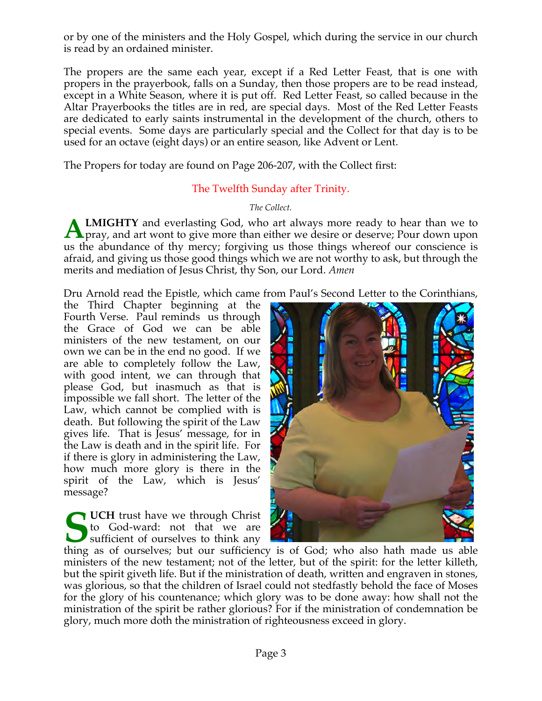or by one of the ministers and the Holy Gospel, which during the service in our church is read by an ordained minister.

The propers are the same each year, except if a Red Letter Feast, that is one with propers in the prayerbook, falls on a Sunday, then those propers are to be read instead, except in a White Season, where it is put off. Red Letter Feast, so called because in the Altar Prayerbooks the titles are in red, are special days. Most of the Red Letter Feasts are dedicated to early saints instrumental in the development of the church, others to special events. Some days are particularly special and the Collect for that day is to be used for an octave (eight days) or an entire season, like Advent or Lent.

The Propers for today are found on Page 206-207, with the Collect first:

# The Twelfth Sunday after Trinity.

*The Collect.*

**LMIGHTY** and everlasting God, who art always more ready to hear than we to **ALMIGHTY** and everlasting God, who art always more ready to hear than we to pray, and art wont to give more than either we desire or deserve; Pour down upon us the abundance of thy mercy; forgiving us those things whereof our conscience is afraid, and giving us those good things which we are not worthy to ask, but through the merits and mediation of Jesus Christ, thy Son, our Lord. *Amen*

Dru Arnold read the Epistle, which came from Paul's Second Letter to the Corinthians,

the Third Chapter beginning at the Fourth Verse. Paul reminds us through the Grace of God we can be able ministers of the new testament, on our own we can be in the end no good. If we are able to completely follow the Law, with good intent, we can through that please God, but inasmuch as that is impossible we fall short. The letter of the Law, which cannot be complied with is death. But following the spirit of the Law gives life. That is Jesus' message, for in the Law is death and in the spirit life. For if there is glory in administering the Law, how much more glory is there in the spirit of the Law, which is Jesus' message?

**S** UCH trust have we through Christ to God-ward: not that we are sufficient of ourselves: but our sufficience to God-ward: not that we are sufficient of ourselves to think any



thing as of ourselves; but our sufficiency is of God; who also hath made us able ministers of the new testament; not of the letter, but of the spirit: for the letter killeth, but the spirit giveth life. But if the ministration of death, written and engraven in stones, was glorious, so that the children of Israel could not stedfastly behold the face of Moses for the glory of his countenance; which glory was to be done away: how shall not the ministration of the spirit be rather glorious? For if the ministration of condemnation be glory, much more doth the ministration of righteousness exceed in glory.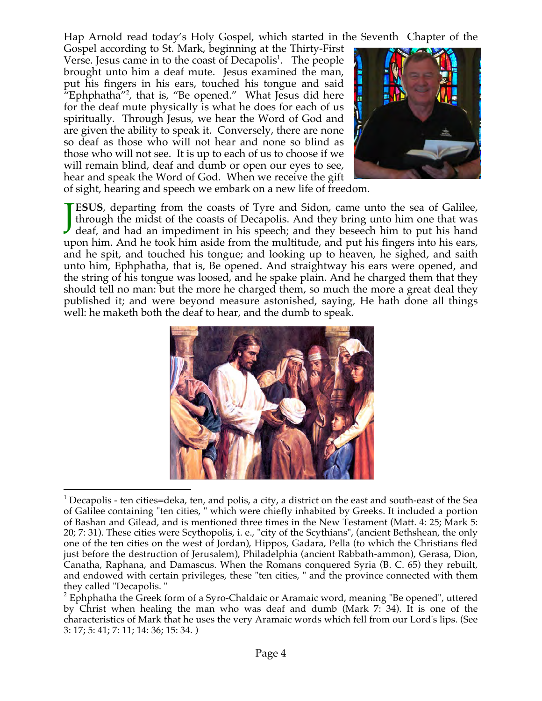Hap Arnold read today's Holy Gospel, which started in the Seventh Chapter of the

Gospel according to St. Mark, beginning at the Thirty-First Verse. Jesus came in to the coast of Decapolis<sup>1</sup>. The people brought unto him a deaf mute. Jesus examined the man, put his fingers in his ears, touched his tongue and said "Ephphatha"<sup>2</sup>, that is, "Be opened." What Jesus did here for the deaf mute physically is what he does for each of us spiritually. Through Jesus, we hear the Word of God and are given the ability to speak it. Conversely, there are none so deaf as those who will not hear and none so blind as those who will not see. It is up to each of us to choose if we will remain blind, deaf and dumb or open our eyes to see, hear and speak the Word of God. When we receive the gift



of sight, hearing and speech we embark on a new life of freedom.

**ESUS**, departing from the coasts of Tyre and Sidon, came unto the sea of Galilee, through the midst of the coasts of Decapolis. And they bring unto him one that was **TESUS**, departing from the coasts of Tyre and Sidon, came unto the sea of Galilee, through the midst of the coasts of Decapolis. And they bring unto him one that was deaf, and had an impediment in his speech; and they bes upon him. And he took him aside from the multitude, and put his fingers into his ears, and he spit, and touched his tongue; and looking up to heaven, he sighed, and saith unto him, Ephphatha, that is, Be opened. And straightway his ears were opened, and the string of his tongue was loosed, and he spake plain. And he charged them that they should tell no man: but the more he charged them, so much the more a great deal they published it; and were beyond measure astonished, saying, He hath done all things well: he maketh both the deaf to hear, and the dumb to speak.



 $\frac{1}{1}$  $^1$  Decapolis - ten cities=deka, ten, and polis, a city, a district on the east and south-east of the Sea of Galilee containing "ten cities, " which were chiefly inhabited by Greeks. It included a portion of Bashan and Gilead, and is mentioned three times in the New Testament (Matt. 4: 25; Mark 5: 20; 7: 31). These cities were Scythopolis, i. e., "city of the Scythians", (ancient Bethshean, the only one of the ten cities on the west of Jordan), Hippos, Gadara, Pella (to which the Christians fled just before the destruction of Jerusalem), Philadelphia (ancient Rabbath-ammon), Gerasa, Dion, Canatha, Raphana, and Damascus. When the Romans conquered Syria (B. C. 65) they rebuilt, and endowed with certain privileges, these "ten cities, " and the province connected with them they called "Decapolis. "

 $2$  Ephphatha the Greek form of a Syro-Chaldaic or Aramaic word, meaning "Be opened", uttered by Christ when healing the man who was deaf and dumb (Mark 7: 34). It is one of the characteristics of Mark that he uses the very Aramaic words which fell from our Lord's lips. (See 3: 17; 5: 41; 7: 11; 14: 36; 15: 34. )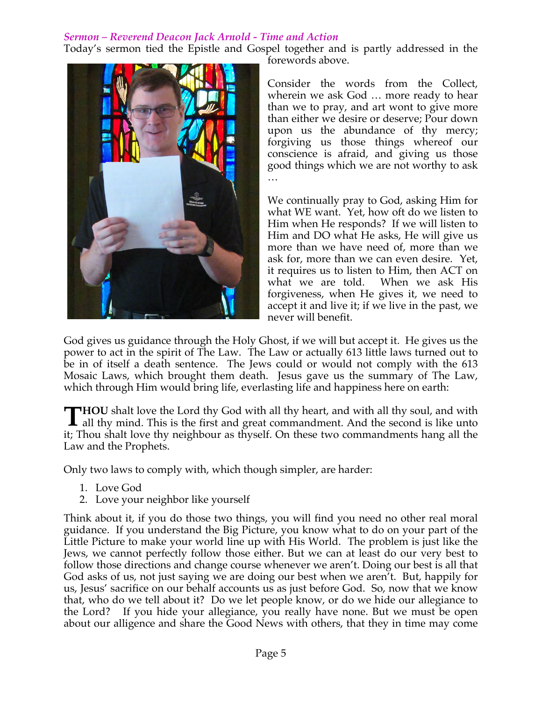# *Sermon – Reverend Deacon Jack Arnold - Time and Action*

Today's sermon tied the Epistle and Gospel together and is partly addressed in the forewords above.



Consider the words from the Collect, wherein we ask God … more ready to hear than we to pray, and art wont to give more than either we desire or deserve; Pour down upon us the abundance of thy mercy; forgiving us those things whereof our conscience is afraid, and giving us those good things which we are not worthy to ask …

We continually pray to God, asking Him for what WE want. Yet, how oft do we listen to Him when He responds? If we will listen to Him and DO what He asks, He will give us more than we have need of, more than we ask for, more than we can even desire. Yet, it requires us to listen to Him, then ACT on what we are told. When we ask His forgiveness, when He gives it, we need to accept it and live it; if we live in the past, we never will benefit.

God gives us guidance through the Holy Ghost, if we will but accept it. He gives us the power to act in the spirit of The Law. The Law or actually 613 little laws turned out to be in of itself a death sentence. The Jews could or would not comply with the 613 Mosaic Laws, which brought them death. Jesus gave us the summary of The Law, which through Him would bring life, everlasting life and happiness here on earth:

**HOU** shalt love the Lord thy God with all thy heart, and with all thy soul, and with **THOU** shalt love the Lord thy God with all thy heart, and with all thy soul, and with all thy mind. This is the first and great commandment. And the second is like unto it; Thou shalt love thy neighbour as thyself. On these two commandments hang all the Law and the Prophets.

Only two laws to comply with, which though simpler, are harder:

- 1. Love God
- 2. Love your neighbor like yourself

Think about it, if you do those two things, you will find you need no other real moral guidance. If you understand the Big Picture, you know what to do on your part of the Little Picture to make your world line up with His World. The problem is just like the Jews, we cannot perfectly follow those either. But we can at least do our very best to follow those directions and change course whenever we aren't. Doing our best is all that God asks of us, not just saying we are doing our best when we aren't. But, happily for us, Jesus' sacrifice on our behalf accounts us as just before God. So, now that we know that, who do we tell about it? Do we let people know, or do we hide our allegiance to the Lord? If you hide your allegiance, you really have none. But we must be open about our alligence and share the Good News with others, that they in time may come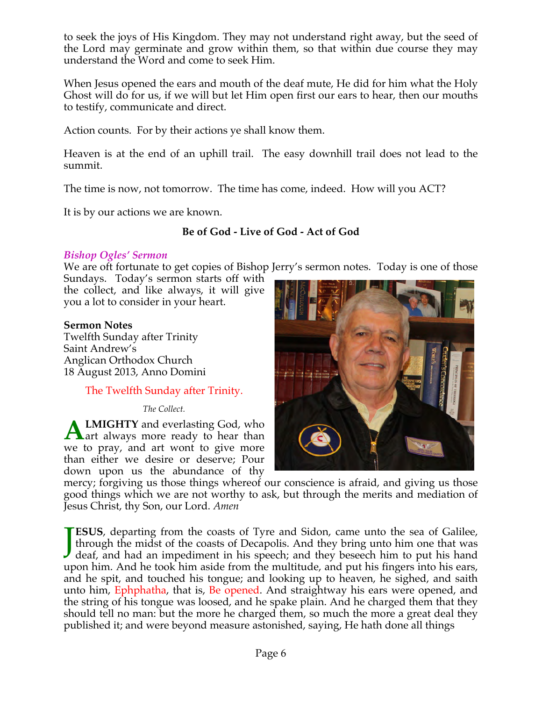to seek the joys of His Kingdom. They may not understand right away, but the seed of the Lord may germinate and grow within them, so that within due course they may understand the Word and come to seek Him.

When Jesus opened the ears and mouth of the deaf mute, He did for him what the Holy Ghost will do for us, if we will but let Him open first our ears to hear, then our mouths to testify, communicate and direct.

Action counts. For by their actions ye shall know them.

Heaven is at the end of an uphill trail. The easy downhill trail does not lead to the summit.

The time is now, not tomorrow. The time has come, indeed. How will you ACT?

It is by our actions we are known.

# **Be of God - Live of God - Act of God**

### *Bishop Ogles' Sermon*

We are oft fortunate to get copies of Bishop Jerry's sermon notes. Today is one of those

Sundays. Today's sermon starts off with the collect, and like always, it will give you a lot to consider in your heart.

### **Sermon Notes**

Twelfth Sunday after Trinity Saint Andrew's Anglican Orthodox Church 18 August 2013, Anno Domini

The Twelfth Sunday after Trinity.

*The Collect.*

**LMIGHTY** and everlasting God, who **ALMIGHTY** and everlasting God, who art always more ready to hear than we to pray, and art wont to give more than either we desire or deserve; Pour down upon us the abundance of thy



mercy; forgiving us those things whereof our conscience is afraid, and giving us those good things which we are not worthy to ask, but through the merits and mediation of Jesus Christ, thy Son, our Lord. *Amen*

**ESUS**, departing from the coasts of Tyre and Sidon, came unto the sea of Galilee, through the midst of the coasts of Decapolis. And they bring unto him one that was **JESUS**, departing from the coasts of Tyre and Sidon, came unto the sea of Galilee, through the midst of the coasts of Decapolis. And they bring unto him one that was deaf, and had an impediment in his speech; and they bes upon him. And he took him aside from the multitude, and put his fingers into his ears, and he spit, and touched his tongue; and looking up to heaven, he sighed, and saith unto him, Ephphatha, that is, Be opened. And straightway his ears were opened, and the string of his tongue was loosed, and he spake plain. And he charged them that they should tell no man: but the more he charged them, so much the more a great deal they published it; and were beyond measure astonished, saying, He hath done all things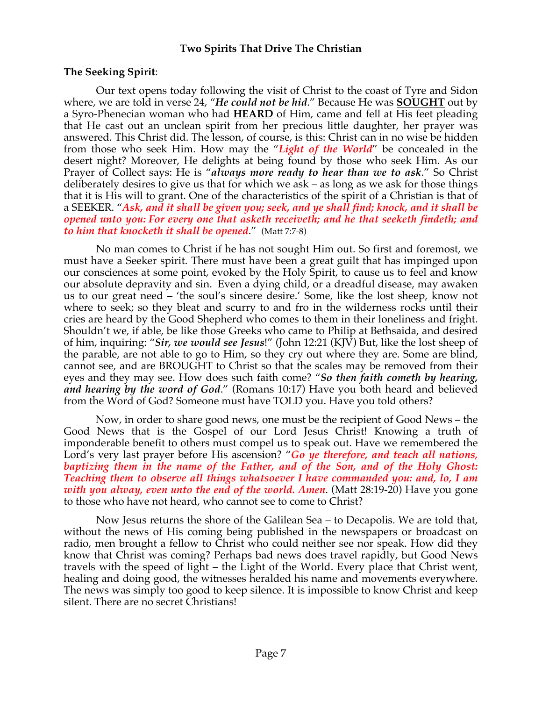### **Two Spirits That Drive The Christian**

### **The Seeking Spirit**:

 Our text opens today following the visit of Christ to the coast of Tyre and Sidon where, we are told in verse 24, "*He could not be hid*." Because He was **SOUGHT** out by a Syro-Phenecian woman who had **HEARD** of Him, came and fell at His feet pleading that He cast out an unclean spirit from her precious little daughter, her prayer was answered. This Christ did. The lesson, of course, is this: Christ can in no wise be hidden from those who seek Him. How may the "*Light of the World*" be concealed in the desert night? Moreover, He delights at being found by those who seek Him. As our Prayer of Collect says: He is "*always more ready to hear than we to ask*." So Christ deliberately desires to give us that for which we ask – as long as we ask for those things that it is His will to grant. One of the characteristics of the spirit of a Christian is that of a SEEKER. "*Ask, and it shall be given you; seek, and ye shall find; knock, and it shall be opened unto you: For every one that asketh receiveth; and he that seeketh findeth; and to him that knocketh it shall be opened*." (Matt 7:7-8)

 No man comes to Christ if he has not sought Him out. So first and foremost, we must have a Seeker spirit. There must have been a great guilt that has impinged upon our consciences at some point, evoked by the Holy Spirit, to cause us to feel and know our absolute depravity and sin. Even a dying child, or a dreadful disease, may awaken us to our great need – 'the soul's sincere desire.' Some, like the lost sheep, know not where to seek; so they bleat and scurry to and fro in the wilderness rocks until their cries are heard by the Good Shepherd who comes to them in their loneliness and fright. Shouldn't we, if able, be like those Greeks who came to Philip at Bethsaida, and desired of him, inquiring: "*Sir, we would see Jesus*!" (John 12:21 (KJV) But, like the lost sheep of the parable, are not able to go to Him, so they cry out where they are. Some are blind, cannot see, and are BROUGHT to Christ so that the scales may be removed from their eyes and they may see. How does such faith come? "*So then faith cometh by hearing, and hearing by the word of God*." (Romans 10:17) Have you both heard and believed from the Word of God? Someone must have TOLD you. Have you told others?

 Now, in order to share good news, one must be the recipient of Good News – the Good News that is the Gospel of our Lord Jesus Christ! Knowing a truth of imponderable benefit to others must compel us to speak out. Have we remembered the Lord's very last prayer before His ascension? "*Go ye therefore, and teach all nations, baptizing them in the name of the Father, and of the Son, and of the Holy Ghost: Teaching them to observe all things whatsoever I have commanded you: and, lo, I am with you alway, even unto the end of the world. Amen*. (Matt 28:19-20) Have you gone to those who have not heard, who cannot see to come to Christ?

 Now Jesus returns the shore of the Galilean Sea – to Decapolis. We are told that, without the news of His coming being published in the newspapers or broadcast on radio, men brought a fellow to Christ who could neither see nor speak. How did they know that Christ was coming? Perhaps bad news does travel rapidly, but Good News travels with the speed of light – the Light of the World. Every place that Christ went, healing and doing good, the witnesses heralded his name and movements everywhere. The news was simply too good to keep silence. It is impossible to know Christ and keep silent. There are no secret Christians!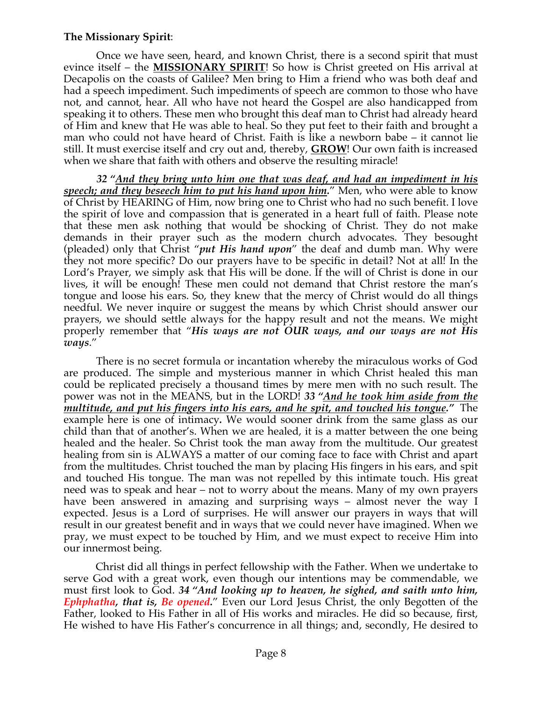### **The Missionary Spirit**:

 Once we have seen, heard, and known Christ, there is a second spirit that must evince itself – the **MISSIONARY SPIRIT**! So how is Christ greeted on His arrival at Decapolis on the coasts of Galilee? Men bring to Him a friend who was both deaf and had a speech impediment. Such impediments of speech are common to those who have not, and cannot, hear. All who have not heard the Gospel are also handicapped from speaking it to others. These men who brought this deaf man to Christ had already heard of Him and knew that He was able to heal. So they put feet to their faith and brought a man who could not have heard of Christ. Faith is like a newborn babe – it cannot lie still. It must exercise itself and cry out and, thereby, **GROW**! Our own faith is increased when we share that faith with others and observe the resulting miracle!

 *32 "And they bring unto him one that was deaf, and had an impediment in his speech; and they beseech him to put his hand upon him.*" Men, who were able to know of Christ by HEARING of Him, now bring one to Christ who had no such benefit. I love the spirit of love and compassion that is generated in a heart full of faith. Please note that these men ask nothing that would be shocking of Christ. They do not make demands in their prayer such as the modern church advocates. They besought (pleaded) only that Christ "*put His hand upon*" the deaf and dumb man. Why were they not more specific? Do our prayers have to be specific in detail? Not at all! In the Lord's Prayer, we simply ask that His will be done. If the will of Christ is done in our lives, it will be enough! These men could not demand that Christ restore the man's tongue and loose his ears. So, they knew that the mercy of Christ would do all things needful. We never inquire or suggest the means by which Christ should answer our prayers, we should settle always for the happy result and not the means. We might properly remember that "*His ways are not OUR ways, and our ways are not His ways*."

 There is no secret formula or incantation whereby the miraculous works of God are produced. The simple and mysterious manner in which Christ healed this man could be replicated precisely a thousand times by mere men with no such result. The power was not in the MEANS, but in the LORD! *33 "And he took him aside from the multitude, and put his fingers into his ears, and he spit, and touched his tongue."* The example here is one of intimacy*.* We would sooner drink from the same glass as our child than that of another's. When we are healed, it is a matter between the one being healed and the healer. So Christ took the man away from the multitude. Our greatest healing from sin is ALWAYS a matter of our coming face to face with Christ and apart from the multitudes. Christ touched the man by placing His fingers in his ears, and spit and touched His tongue. The man was not repelled by this intimate touch. His great need was to speak and hear – not to worry about the means. Many of my own prayers have been answered in amazing and surprising ways – almost never the way I expected. Jesus is a Lord of surprises. He will answer our prayers in ways that will result in our greatest benefit and in ways that we could never have imagined. When we pray, we must expect to be touched by Him, and we must expect to receive Him into our innermost being.

 Christ did all things in perfect fellowship with the Father. When we undertake to serve God with a great work, even though our intentions may be commendable, we must first look to God. *34 "And looking up to heaven, he sighed, and saith unto him, Ephphatha, that is, Be opened.*" Even our Lord Jesus Christ, the only Begotten of the Father, looked to His Father in all of His works and miracles. He did so because, first, He wished to have His Father's concurrence in all things; and, secondly, He desired to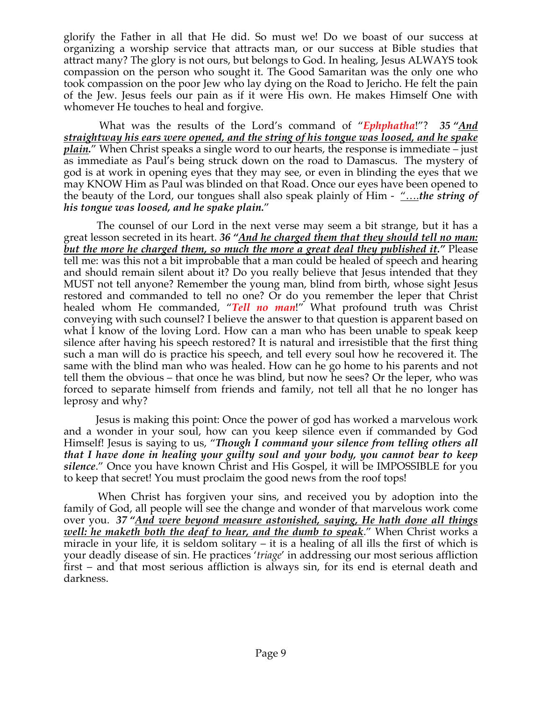glorify the Father in all that He did. So must we! Do we boast of our success at organizing a worship service that attracts man, or our success at Bible studies that attract many? The glory is not ours, but belongs to God. In healing, Jesus ALWAYS took compassion on the person who sought it. The Good Samaritan was the only one who took compassion on the poor Jew who lay dying on the Road to Jericho. He felt the pain of the Jew. Jesus feels our pain as if it were His own. He makes Himself One with whomever He touches to heal and forgive.

 What was the results of the Lord's command of "*Ephphatha*!"? *35 "And straightway his ears were opened, and the string of his tongue was loosed, and he spake plain.*" When Christ speaks a single word to our hearts, the response is immediate – just as immediate as Paul's being struck down on the road to Damascus. The mystery of god is at work in opening eyes that they may see, or even in blinding the eyes that we may KNOW Him as Paul was blinded on that Road. Once our eyes have been opened to the beauty of the Lord, our tongues shall also speak plainly of Him - "….*the string of his tongue was loosed, and he spake plain.*"

 The counsel of our Lord in the next verse may seem a bit strange, but it has a great lesson secreted in its heart. *36 "And he charged them that they should tell no man: but the more he charged them, so much the more a great deal they published it."* Please tell me: was this not a bit improbable that a man could be healed of speech and hearing and should remain silent about it? Do you really believe that Jesus intended that they MUST not tell anyone? Remember the young man, blind from birth, whose sight Jesus restored and commanded to tell no one? Or do you remember the leper that Christ healed whom He commanded, "*Tell no man*!" What profound truth was Christ conveying with such counsel? I believe the answer to that question is apparent based on what I know of the loving Lord. How can a man who has been unable to speak keep silence after having his speech restored? It is natural and irresistible that the first thing such a man will do is practice his speech, and tell every soul how he recovered it. The same with the blind man who was healed. How can he go home to his parents and not tell them the obvious – that once he was blind, but now he sees? Or the leper, who was forced to separate himself from friends and family, not tell all that he no longer has leprosy and why?

 Jesus is making this point: Once the power of god has worked a marvelous work and a wonder in your soul, how can you keep silence even if commanded by God Himself! Jesus is saying to us, "*Though I command your silence from telling others all that I have done in healing your guilty soul and your body, you cannot bear to keep silence*." Once you have known Christ and His Gospel, it will be IMPOSSIBLE for you to keep that secret! You must proclaim the good news from the roof tops!

 When Christ has forgiven your sins, and received you by adoption into the family of God, all people will see the change and wonder of that marvelous work come over you. *37 "And were beyond measure astonished, saying, He hath done all things well: he maketh both the deaf to hear, and the dumb to speak*." When Christ works a miracle in your life, it is seldom solitary – it is a healing of all ills the first of which is your deadly disease of sin. He practices '*triage*' in addressing our most serious affliction first – and that most serious affliction is always sin, for its end is eternal death and darkness.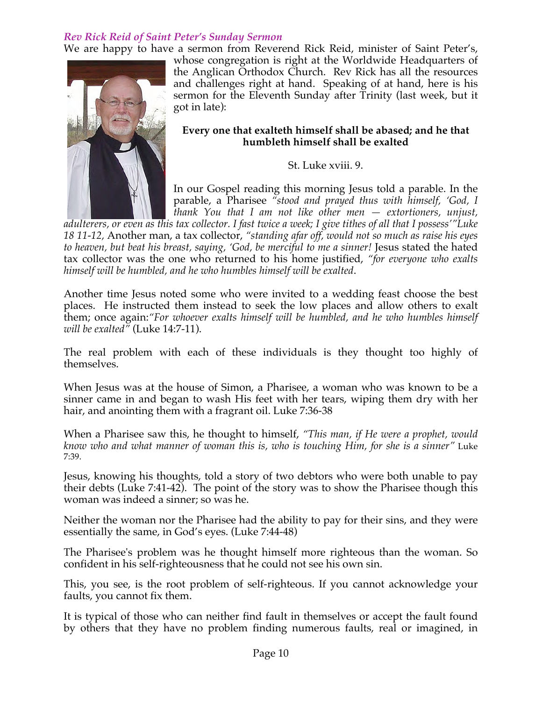# *Rev Rick Reid of Saint Peter's Sunday Sermon*

We are happy to have a sermon from Reverend Rick Reid, minister of Saint Peter's,



whose congregation is right at the Worldwide Headquarters of the Anglican Orthodox Church. Rev Rick has all the resources and challenges right at hand. Speaking of at hand, here is his sermon for the Eleventh Sunday after Trinity (last week, but it got in late):

### **Every one that exalteth himself shall be abased; and he that humbleth himself shall be exalted**

St. Luke xviii. 9.

In our Gospel reading this morning Jesus told a parable. In the parable, a Pharisee *"stood and prayed thus with himself, 'God, I thank You that I am not like other men — extortioners, unjust,* 

*adulterers, or even as this tax collector. I fast twice a week; I give tithes of all that I possess'"Luke 18 11-12,* Another man, a tax collector, *"standing afar off, would not so much as raise his eyes to heaven, but beat his breast, saying, 'God, be merciful to me a sinner!* Jesus stated the hated tax collector was the one who returned to his home justified, *"for everyone who exalts himself will be humbled, and he who humbles himself will be exalted*.

Another time Jesus noted some who were invited to a wedding feast choose the best places. He instructed them instead to seek the low places and allow others to exalt them; once again:*"For whoever exalts himself will be humbled, and he who humbles himself will be exalted"* (Luke 14:7-11).

The real problem with each of these individuals is they thought too highly of themselves.

When Jesus was at the house of Simon, a Pharisee, a woman who was known to be a sinner came in and began to wash His feet with her tears, wiping them dry with her hair, and anointing them with a fragrant oil. Luke 7:36-38

When a Pharisee saw this, he thought to himself, *"This man, if He were a prophet, would know who and what manner of woman this is, who is touching Him, for she is a sinner"* Luke 7:39.

Jesus, knowing his thoughts, told a story of two debtors who were both unable to pay their debts (Luke 7:41-42). The point of the story was to show the Pharisee though this woman was indeed a sinner; so was he.

Neither the woman nor the Pharisee had the ability to pay for their sins, and they were essentially the same, in God's eyes. (Luke 7:44-48)

The Pharisee's problem was he thought himself more righteous than the woman. So confident in his self-righteousness that he could not see his own sin.

This, you see, is the root problem of self-righteous. If you cannot acknowledge your faults, you cannot fix them.

It is typical of those who can neither find fault in themselves or accept the fault found by others that they have no problem finding numerous faults, real or imagined, in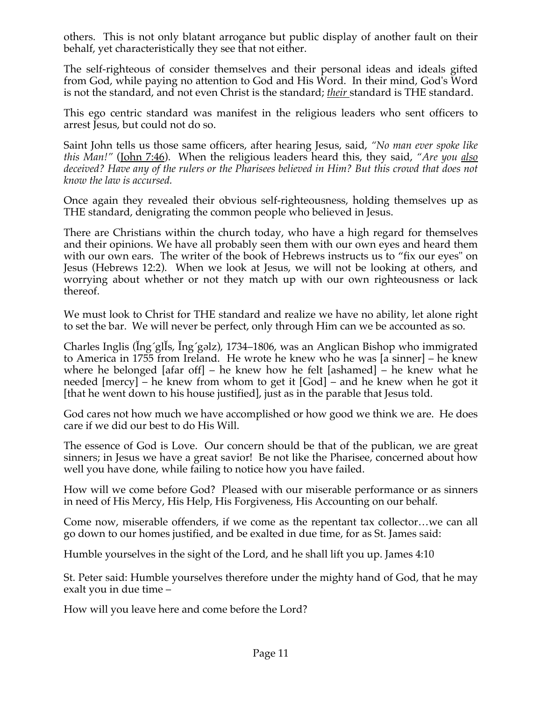others. This is not only blatant arrogance but public display of another fault on their behalf, yet characteristically they see that not either.

The self-righteous of consider themselves and their personal ideas and ideals gifted from God, while paying no attention to God and His Word. In their mind, God's Word is not the standard, and not even Christ is the standard; *their* standard is THE standard.

This ego centric standard was manifest in the religious leaders who sent officers to arrest Jesus, but could not do so.

Saint John tells us those same officers, after hearing Jesus, said, *"No man ever spoke like this Man!"* (John 7:46). When the religious leaders heard this, they said, *"Are you also deceived? Have any of the rulers or the Pharisees believed in Him? But this crowd that does not know the law is accursed.*

Once again they revealed their obvious self-righteousness, holding themselves up as THE standard, denigrating the common people who believed in Jesus.

There are Christians within the church today, who have a high regard for themselves and their opinions. We have all probably seen them with our own eyes and heard them with our own ears. The writer of the book of Hebrews instructs us to "fix our eyes" on Jesus (Hebrews 12:2). When we look at Jesus, we will not be looking at others, and worrying about whether or not they match up with our own righteousness or lack thereof.

We must look to Christ for THE standard and realize we have no ability, let alone right to set the bar. We will never be perfect, only through Him can we be accounted as so.

Charles Inglis (Ing´glIs, Ing´gəlz), 1734–1806, was an Anglican Bishop who immigrated to America in 1755 from Ireland. He wrote he knew who he was [a sinner] – he knew where he belonged [afar off] – he knew how he felt [ashamed] – he knew what he needed [mercy] – he knew from whom to get it [God] – and he knew when he got it [that he went down to his house justified], just as in the parable that Jesus told.

God cares not how much we have accomplished or how good we think we are. He does care if we did our best to do His Will.

The essence of God is Love. Our concern should be that of the publican, we are great sinners; in Jesus we have a great savior! Be not like the Pharisee, concerned about how well you have done, while failing to notice how you have failed.

How will we come before God? Pleased with our miserable performance or as sinners in need of His Mercy, His Help, His Forgiveness, His Accounting on our behalf.

Come now, miserable offenders, if we come as the repentant tax collector…we can all go down to our homes justified, and be exalted in due time, for as St. James said:

Humble yourselves in the sight of the Lord, and he shall lift you up. James 4:10

St. Peter said: Humble yourselves therefore under the mighty hand of God, that he may exalt you in due time –

How will you leave here and come before the Lord?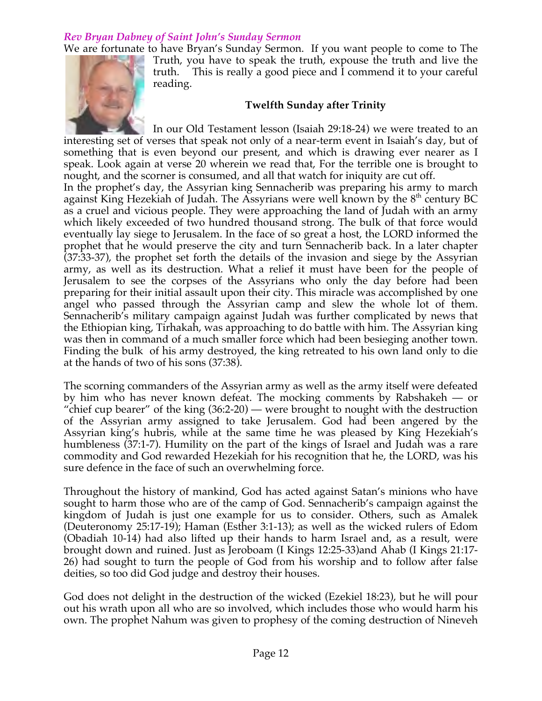# *Rev Bryan Dabney of Saint John's Sunday Sermon*

We are fortunate to have Bryan's Sunday Sermon. If you want people to come to The Truth, you have to speak the truth, expouse the truth and live the truth. This is really a good piece and I commend it to your careful reading.

# **Twelfth Sunday after Trinity**

In our Old Testament lesson (Isaiah 29:18-24) we were treated to an interesting set of verses that speak not only of a near-term event in Isaiah's day, but of something that is even beyond our present, and which is drawing ever nearer as I speak. Look again at verse 20 wherein we read that, For the terrible one is brought to nought, and the scorner is consumed, and all that watch for iniquity are cut off.

In the prophet's day, the Assyrian king Sennacherib was preparing his army to march against King Hezekiah of Judah. The Assyrians were well known by the  $8<sup>th</sup>$  century BC as a cruel and vicious people. They were approaching the land of Judah with an army which likely exceeded of two hundred thousand strong. The bulk of that force would eventually lay siege to Jerusalem. In the face of so great a host, the LORD informed the prophet that he would preserve the city and turn Sennacherib back. In a later chapter (37:33-37), the prophet set forth the details of the invasion and siege by the Assyrian army, as well as its destruction. What a relief it must have been for the people of Jerusalem to see the corpses of the Assyrians who only the day before had been preparing for their initial assault upon their city. This miracle was accomplished by one angel who passed through the Assyrian camp and slew the whole lot of them. Sennacherib's military campaign against Judah was further complicated by news that the Ethiopian king, Tirhakah, was approaching to do battle with him. The Assyrian king was then in command of a much smaller force which had been besieging another town. Finding the bulk of his army destroyed, the king retreated to his own land only to die at the hands of two of his sons (37:38).

The scorning commanders of the Assyrian army as well as the army itself were defeated by him who has never known defeat. The mocking comments by Rabshakeh — or "chief cup bearer" of the king (36:2-20) — were brought to nought with the destruction of the Assyrian army assigned to take Jerusalem. God had been angered by the Assyrian king's hubris, while at the same time he was pleased by King Hezekiah's humbleness (37:1-7). Humility on the part of the kings of Israel and Judah was a rare commodity and God rewarded Hezekiah for his recognition that he, the LORD, was his sure defence in the face of such an overwhelming force.

Throughout the history of mankind, God has acted against Satan's minions who have sought to harm those who are of the camp of God. Sennacherib's campaign against the kingdom of Judah is just one example for us to consider. Others, such as Amalek (Deuteronomy 25:17-19); Haman (Esther 3:1-13); as well as the wicked rulers of Edom (Obadiah 10-14) had also lifted up their hands to harm Israel and, as a result, were brought down and ruined. Just as Jeroboam (I Kings 12:25-33)and Ahab (I Kings 21:17- 26) had sought to turn the people of God from his worship and to follow after false deities, so too did God judge and destroy their houses.

God does not delight in the destruction of the wicked (Ezekiel 18:23), but he will pour out his wrath upon all who are so involved, which includes those who would harm his own. The prophet Nahum was given to prophesy of the coming destruction of Nineveh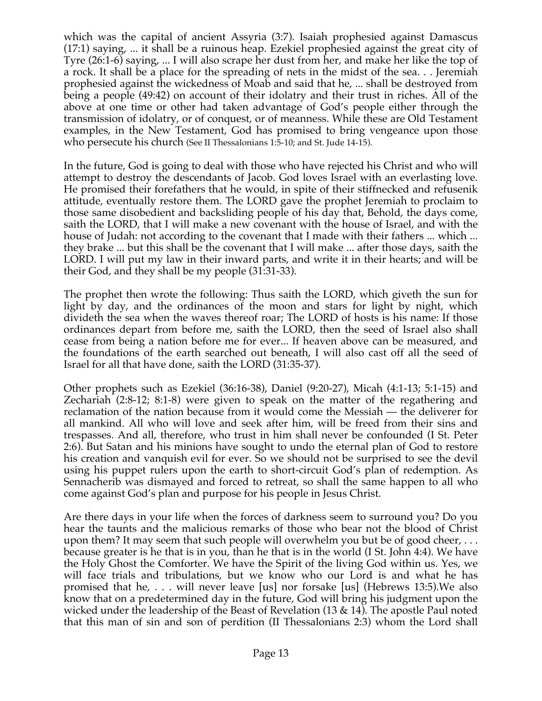which was the capital of ancient Assyria (3:7). Isaiah prophesied against Damascus (17:1) saying, ... it shall be a ruinous heap. Ezekiel prophesied against the great city of Tyre (26:1-6) saying, ... I will also scrape her dust from her, and make her like the top of a rock. It shall be a place for the spreading of nets in the midst of the sea. . . Jeremiah prophesied against the wickedness of Moab and said that he, ... shall be destroyed from being a people (49:42) on account of their idolatry and their trust in riches. All of the above at one time or other had taken advantage of God's people either through the transmission of idolatry, or of conquest, or of meanness. While these are Old Testament examples, in the New Testament, God has promised to bring vengeance upon those who persecute his church (See II Thessalonians 1:5-10; and St. Jude 14-15).

In the future, God is going to deal with those who have rejected his Christ and who will attempt to destroy the descendants of Jacob. God loves Israel with an everlasting love. He promised their forefathers that he would, in spite of their stiffnecked and refusenik attitude, eventually restore them. The LORD gave the prophet Jeremiah to proclaim to those same disobedient and backsliding people of his day that, Behold, the days come, saith the LORD, that I will make a new covenant with the house of Israel, and with the house of Judah: not according to the covenant that I made with their fathers ... which ... they brake ... but this shall be the covenant that I will make ... after those days, saith the LORD. I will put my law in their inward parts, and write it in their hearts; and will be their God, and they shall be my people (31:31-33).

The prophet then wrote the following: Thus saith the LORD, which giveth the sun for light by day, and the ordinances of the moon and stars for light by night, which divideth the sea when the waves thereof roar; The LORD of hosts is his name: If those ordinances depart from before me, saith the LORD, then the seed of Israel also shall cease from being a nation before me for ever... If heaven above can be measured, and the foundations of the earth searched out beneath, I will also cast off all the seed of Israel for all that have done, saith the LORD (31:35-37).

Other prophets such as Ezekiel (36:16-38), Daniel (9:20-27), Micah (4:1-13; 5:1-15) and Zechariah (2:8-12; 8:1-8) were given to speak on the matter of the regathering and reclamation of the nation because from it would come the Messiah — the deliverer for all mankind. All who will love and seek after him, will be freed from their sins and trespasses. And all, therefore, who trust in him shall never be confounded (I St. Peter 2:6). But Satan and his minions have sought to undo the eternal plan of God to restore his creation and vanquish evil for ever. So we should not be surprised to see the devil using his puppet rulers upon the earth to short-circuit God's plan of redemption. As Sennacherib was dismayed and forced to retreat, so shall the same happen to all who come against God's plan and purpose for his people in Jesus Christ.

Are there days in your life when the forces of darkness seem to surround you? Do you hear the taunts and the malicious remarks of those who bear not the blood of Christ upon them? It may seem that such people will overwhelm you but be of good cheer,  $\dots$ because greater is he that is in you, than he that is in the world (I St. John 4:4). We have the Holy Ghost the Comforter. We have the Spirit of the living God within us. Yes, we will face trials and tribulations, but we know who our Lord is and what he has promised that he, . . . will never leave [us] nor forsake [us] (Hebrews 13:5).We also know that on a predetermined day in the future, God will bring his judgment upon the wicked under the leadership of the Beast of Revelation (13  $\&$  14). The apostle Paul noted that this man of sin and son of perdition (II Thessalonians 2:3) whom the Lord shall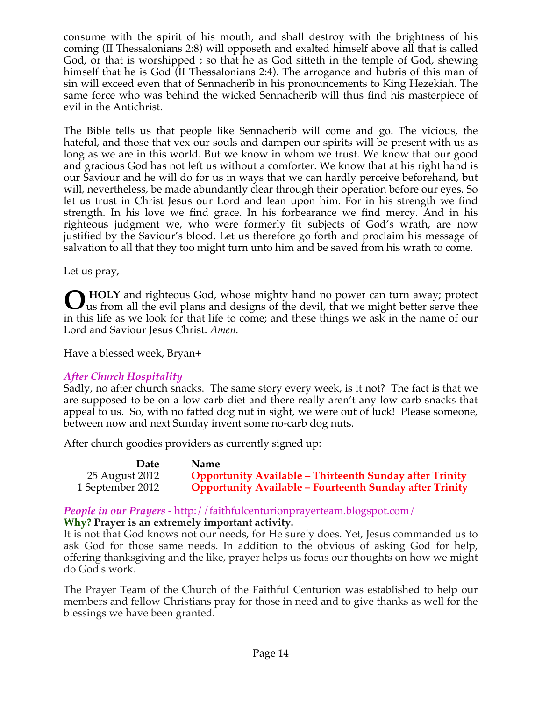consume with the spirit of his mouth, and shall destroy with the brightness of his coming (II Thessalonians 2:8) will opposeth and exalted himself above all that is called God, or that is worshipped ; so that he as God sitteth in the temple of God, shewing himself that he is God (II Thessalonians 2:4). The arrogance and hubris of this man of sin will exceed even that of Sennacherib in his pronouncements to King Hezekiah. The same force who was behind the wicked Sennacherib will thus find his masterpiece of evil in the Antichrist.

The Bible tells us that people like Sennacherib will come and go. The vicious, the hateful, and those that vex our souls and dampen our spirits will be present with us as long as we are in this world. But we know in whom we trust. We know that our good and gracious God has not left us without a comforter. We know that at his right hand is our Saviour and he will do for us in ways that we can hardly perceive beforehand, but will, nevertheless, be made abundantly clear through their operation before our eyes. So let us trust in Christ Jesus our Lord and lean upon him. For in his strength we find strength. In his love we find grace. In his forbearance we find mercy. And in his righteous judgment we, who were formerly fit subjects of God's wrath, are now justified by the Saviour's blood. Let us therefore go forth and proclaim his message of salvation to all that they too might turn unto him and be saved from his wrath to come.

Let us pray,

 **HOLY** and righteous God, whose mighty hand no power can turn away; protect us from all the evil plans and designs of the devil, that we might better serve thee us from all the evil plans and designs of the devil, that we might better serve thee in this life as we look for that life to come; and these things we ask in the name of our Lord and Saviour Jesus Christ. *Amen.* 

Have a blessed week, Bryan+

# *After Church Hospitality*

Sadly, no after church snacks. The same story every week, is it not? The fact is that we are supposed to be on a low carb diet and there really aren't any low carb snacks that appeal to us. So, with no fatted dog nut in sight, we were out of luck! Please someone, between now and next Sunday invent some no-carb dog nuts.

After church goodies providers as currently signed up:

| <b>Date</b>      | <b>Name</b>                                                    |
|------------------|----------------------------------------------------------------|
| 25 August 2012   | <b>Opportunity Available - Thirteenth Sunday after Trinity</b> |
| 1 September 2012 | <b>Opportunity Available - Fourteenth Sunday after Trinity</b> |

# *People in our Prayers* - http://faithfulcenturionprayerteam.blogspot.com/

**Why? Prayer is an extremely important activity.**

It is not that God knows not our needs, for He surely does. Yet, Jesus commanded us to ask God for those same needs. In addition to the obvious of asking God for help, offering thanksgiving and the like, prayer helps us focus our thoughts on how we might do God's work.

The Prayer Team of the Church of the Faithful Centurion was established to help our members and fellow Christians pray for those in need and to give thanks as well for the blessings we have been granted.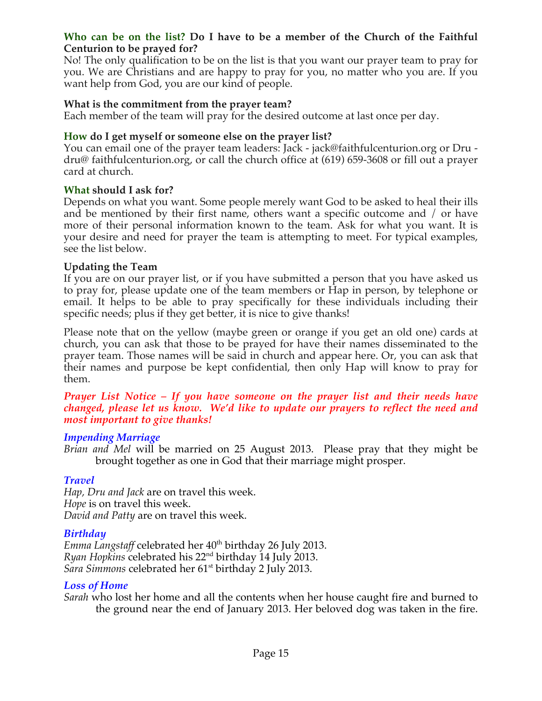### **Who can be on the list? Do I have to be a member of the Church of the Faithful Centurion to be prayed for?**

No! The only qualification to be on the list is that you want our prayer team to pray for you. We are Christians and are happy to pray for you, no matter who you are. If you want help from God, you are our kind of people.

#### **What is the commitment from the prayer team?**

Each member of the team will pray for the desired outcome at last once per day.

#### **How do I get myself or someone else on the prayer list?**

You can email one of the prayer team leaders: Jack - jack@faithfulcenturion.org or Dru dru@ faithfulcenturion.org, or call the church office at (619) 659-3608 or fill out a prayer card at church.

#### **What should I ask for?**

Depends on what you want. Some people merely want God to be asked to heal their ills and be mentioned by their first name, others want a specific outcome and / or have more of their personal information known to the team. Ask for what you want. It is your desire and need for prayer the team is attempting to meet. For typical examples, see the list below.

#### **Updating the Team**

If you are on our prayer list, or if you have submitted a person that you have asked us to pray for, please update one of the team members or Hap in person, by telephone or email. It helps to be able to pray specifically for these individuals including their specific needs; plus if they get better, it is nice to give thanks!

Please note that on the yellow (maybe green or orange if you get an old one) cards at church, you can ask that those to be prayed for have their names disseminated to the prayer team. Those names will be said in church and appear here. Or, you can ask that their names and purpose be kept confidential, then only Hap will know to pray for them.

#### *Prayer List Notice – If you have someone on the prayer list and their needs have changed, please let us know. We'd like to update our prayers to reflect the need and most important to give thanks!*

#### *Impending Marriage*

*Brian and Mel* will be married on 25 August 2013. Please pray that they might be brought together as one in God that their marriage might prosper.

### *Travel*

*Hap, Dru and Jack* are on travel this week. *Hope* is on travel this week. *David and Patty* are on travel this week.

### *Birthday*

*Emma Langstaff celebrated her 40<sup>th</sup> birthday 26 July 2013. Ryan Hopkins* celebrated his 22nd birthday 14 July 2013. *Sara Simmons* celebrated her 61<sup>st</sup> birthday 2 July 2013.

#### *Loss of Home*

*Sarah* who lost her home and all the contents when her house caught fire and burned to the ground near the end of January 2013. Her beloved dog was taken in the fire.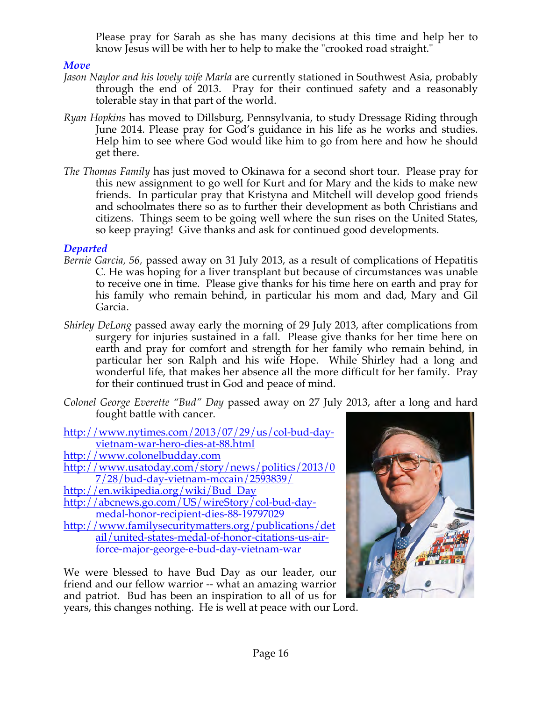Please pray for Sarah as she has many decisions at this time and help her to know Jesus will be with her to help to make the "crooked road straight."

# *Move*

- *Jason Naylor and his lovely wife Marla* are currently stationed in Southwest Asia, probably through the end of 2013. Pray for their continued safety and a reasonably tolerable stay in that part of the world.
- *Ryan Hopkins* has moved to Dillsburg, Pennsylvania, to study Dressage Riding through June 2014. Please pray for God's guidance in his life as he works and studies. Help him to see where God would like him to go from here and how he should get there.
- *The Thomas Family* has just moved to Okinawa for a second short tour. Please pray for this new assignment to go well for Kurt and for Mary and the kids to make new friends. In particular pray that Kristyna and Mitchell will develop good friends and schoolmates there so as to further their development as both Christians and citizens. Things seem to be going well where the sun rises on the United States, so keep praying! Give thanks and ask for continued good developments.

### *Departed*

- *Bernie Garcia, 56,* passed away on 31 July 2013, as a result of complications of Hepatitis C. He was hoping for a liver transplant but because of circumstances was unable to receive one in time. Please give thanks for his time here on earth and pray for his family who remain behind, in particular his mom and dad, Mary and Gil Garcia.
- *Shirley DeLong* passed away early the morning of 29 July 2013, after complications from surgery for injuries sustained in a fall. Please give thanks for her time here on earth and pray for comfort and strength for her family who remain behind, in particular her son Ralph and his wife Hope. While Shirley had a long and wonderful life, that makes her absence all the more difficult for her family. Pray for their continued trust in God and peace of mind.
- *Colonel George Everette "Bud" Day* passed away on 27 July 2013, after a long and hard fought battle with cancer.
- http://www.nytimes.com/2013/07/29/us/col-bud-dayvietnam-war-hero-dies-at-88.html
- http://www.colonelbudday.com
- http://www.usatoday.com/story/news/politics/2013/0 7/28/bud-day-vietnam-mccain/2593839/
- http://en.wikipedia.org/wiki/Bud\_Day
- http://abcnews.go.com/US/wireStory/col-bud-daymedal-honor-recipient-dies-88-19797029
- http://www.familysecuritymatters.org/publications/det ail/united-states-medal-of-honor-citations-us-airforce-major-george-e-bud-day-vietnam-war

We were blessed to have Bud Day as our leader, our friend and our fellow warrior -- what an amazing warrior and patriot. Bud has been an inspiration to all of us for years, this changes nothing. He is well at peace with our Lord.

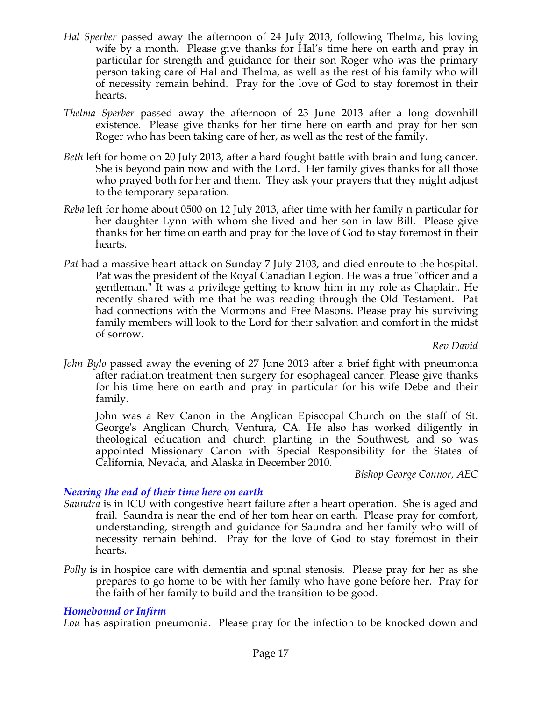- *Hal Sperber* passed away the afternoon of 24 July 2013, following Thelma, his loving wife by a month. Please give thanks for Hal's time here on earth and pray in particular for strength and guidance for their son Roger who was the primary person taking care of Hal and Thelma, as well as the rest of his family who will of necessity remain behind. Pray for the love of God to stay foremost in their hearts.
- *Thelma Sperber* passed away the afternoon of 23 June 2013 after a long downhill existence. Please give thanks for her time here on earth and pray for her son Roger who has been taking care of her, as well as the rest of the family.
- *Beth* left for home on 20 July 2013, after a hard fought battle with brain and lung cancer. She is beyond pain now and with the Lord. Her family gives thanks for all those who prayed both for her and them. They ask your prayers that they might adjust to the temporary separation.
- *Reba* left for home about 0500 on 12 July 2013, after time with her family n particular for her daughter Lynn with whom she lived and her son in law Bill. Please give thanks for her time on earth and pray for the love of God to stay foremost in their hearts.
- *Pat* had a massive heart attack on Sunday 7 July 2103, and died enroute to the hospital. Pat was the president of the Royal Canadian Legion. He was a true "officer and a gentleman." It was a privilege getting to know him in my role as Chaplain. He recently shared with me that he was reading through the Old Testament. Pat had connections with the Mormons and Free Masons. Please pray his surviving family members will look to the Lord for their salvation and comfort in the midst of sorrow.

*Rev David*

*John Bylo* passed away the evening of 27 June 2013 after a brief fight with pneumonia after radiation treatment then surgery for esophageal cancer. Please give thanks for his time here on earth and pray in particular for his wife Debe and their family.

John was a Rev Canon in the Anglican Episcopal Church on the staff of St. George's Anglican Church, Ventura, CA. He also has worked diligently in theological education and church planting in the Southwest, and so was appointed Missionary Canon with Special Responsibility for the States of California, Nevada, and Alaska in December 2010.

*Bishop George Connor, AEC*

# *Nearing the end of their time here on earth*

- *Saundra* is in ICU with congestive heart failure after a heart operation. She is aged and frail. Saundra is near the end of her tom hear on earth. Please pray for comfort, understanding, strength and guidance for Saundra and her family who will of necessity remain behind. Pray for the love of God to stay foremost in their hearts.
- *Polly* is in hospice care with dementia and spinal stenosis. Please pray for her as she prepares to go home to be with her family who have gone before her. Pray for the faith of her family to build and the transition to be good.

# *Homebound or Infirm*

*Lou* has aspiration pneumonia. Please pray for the infection to be knocked down and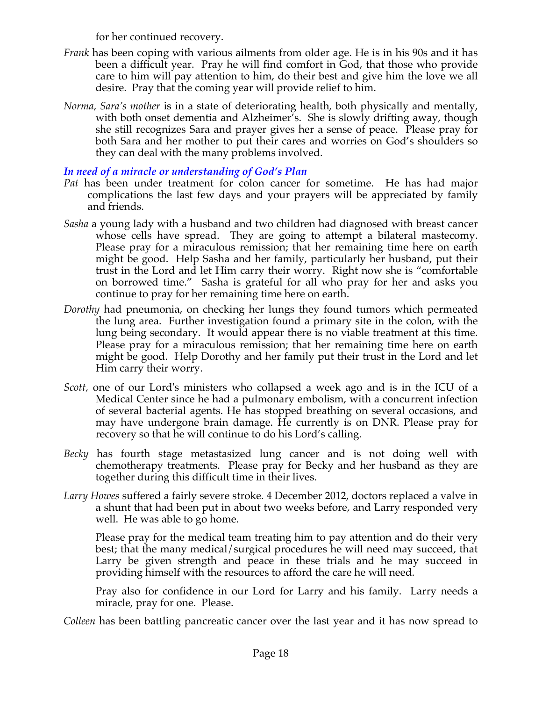for her continued recovery.

- *Frank* has been coping with various ailments from older age. He is in his 90s and it has been a difficult year. Pray he will find comfort in God, that those who provide care to him will pay attention to him, do their best and give him the love we all desire. Pray that the coming year will provide relief to him.
- *Norma, Sara's mother* is in a state of deteriorating health, both physically and mentally, with both onset dementia and Alzheimer's. She is slowly drifting away, though she still recognizes Sara and prayer gives her a sense of peace. Please pray for both Sara and her mother to put their cares and worries on God's shoulders so they can deal with the many problems involved.

# *In need of a miracle or understanding of God's Plan*

- *Pat* has been under treatment for colon cancer for sometime. He has had major complications the last few days and your prayers will be appreciated by family and friends.
- *Sasha* a young lady with a husband and two children had diagnosed with breast cancer whose cells have spread. They are going to attempt a bilateral mastecomy. Please pray for a miraculous remission; that her remaining time here on earth might be good. Help Sasha and her family, particularly her husband, put their trust in the Lord and let Him carry their worry. Right now she is "comfortable on borrowed time." Sasha is grateful for all who pray for her and asks you continue to pray for her remaining time here on earth.
- *Dorothy* had pneumonia, on checking her lungs they found tumors which permeated the lung area. Further investigation found a primary site in the colon, with the lung being secondary. It would appear there is no viable treatment at this time. Please pray for a miraculous remission; that her remaining time here on earth might be good. Help Dorothy and her family put their trust in the Lord and let Him carry their worry.
- *Scott,* one of our Lord's ministers who collapsed a week ago and is in the ICU of a Medical Center since he had a pulmonary embolism, with a concurrent infection of several bacterial agents. He has stopped breathing on several occasions, and may have undergone brain damage. He currently is on DNR. Please pray for recovery so that he will continue to do his Lord's calling*.*
- *Becky* has fourth stage metastasized lung cancer and is not doing well with chemotherapy treatments. Please pray for Becky and her husband as they are together during this difficult time in their lives.
- *Larry Howes* suffered a fairly severe stroke. 4 December 2012, doctors replaced a valve in a shunt that had been put in about two weeks before, and Larry responded very well. He was able to go home.

Please pray for the medical team treating him to pay attention and do their very best; that the many medical/surgical procedures he will need may succeed, that Larry be given strength and peace in these trials and he may succeed in providing himself with the resources to afford the care he will need.

Pray also for confidence in our Lord for Larry and his family. Larry needs a miracle, pray for one. Please.

*Colleen* has been battling pancreatic cancer over the last year and it has now spread to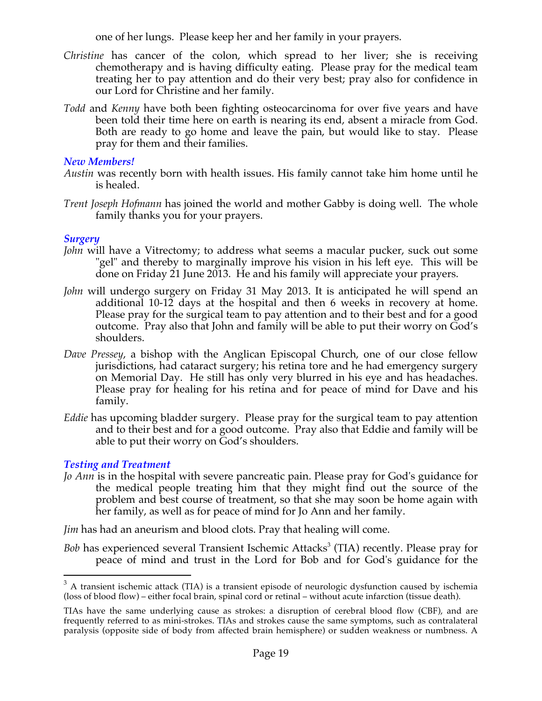one of her lungs. Please keep her and her family in your prayers.

- *Christine* has cancer of the colon, which spread to her liver; she is receiving chemotherapy and is having difficulty eating. Please pray for the medical team treating her to pay attention and do their very best; pray also for confidence in our Lord for Christine and her family.
- *Todd* and *Kenny* have both been fighting osteocarcinoma for over five years and have been told their time here on earth is nearing its end, absent a miracle from God. Both are ready to go home and leave the pain, but would like to stay. Please pray for them and their families.

#### *New Members!*

- *Austin* was recently born with health issues. His family cannot take him home until he is healed.
- *Trent Joseph Hofmann* has joined the world and mother Gabby is doing well. The whole family thanks you for your prayers.

### *Surgery*

- *John will have a Vitrectomy; to address what seems a macular pucker, suck out some* "gel" and thereby to marginally improve his vision in his left eye. This will be done on Friday 21 June 2013. He and his family will appreciate your prayers.
- *John* will undergo surgery on Friday 31 May 2013. It is anticipated he will spend an additional 10-12 days at the hospital and then 6 weeks in recovery at home. Please pray for the surgical team to pay attention and to their best and for a good outcome. Pray also that John and family will be able to put their worry on God's shoulders.
- *Dave Pressey*, a bishop with the Anglican Episcopal Church, one of our close fellow jurisdictions, had cataract surgery; his retina tore and he had emergency surgery on Memorial Day. He still has only very blurred in his eye and has headaches. Please pray for healing for his retina and for peace of mind for Dave and his family.
- *Eddie* has upcoming bladder surgery. Please pray for the surgical team to pay attention and to their best and for a good outcome. Pray also that Eddie and family will be able to put their worry on God's shoulders.

# *Testing and Treatment*

*Jo Ann* is in the hospital with severe pancreatic pain. Please pray for God's guidance for the medical people treating him that they might find out the source of the problem and best course of treatment, so that she may soon be home again with her family, as well as for peace of mind for Jo Ann and her family.

*Jim* has had an aneurism and blood clots. Pray that healing will come.

*Bob* has experienced several Transient Ischemic Attacks<sup>3</sup> (TIA) recently. Please pray for peace of mind and trust in the Lord for Bob and for God's guidance for the

 $3$  A transient ischemic attack (TIA) is a transient episode of neurologic dysfunction caused by ischemia (loss of blood flow) – either focal brain, spinal cord or retinal – without acute infarction (tissue death).

TIAs have the same underlying cause as strokes: a disruption of cerebral blood flow (CBF), and are frequently referred to as mini-strokes. TIAs and strokes cause the same symptoms, such as contralateral paralysis (opposite side of body from affected brain hemisphere) or sudden weakness or numbness. A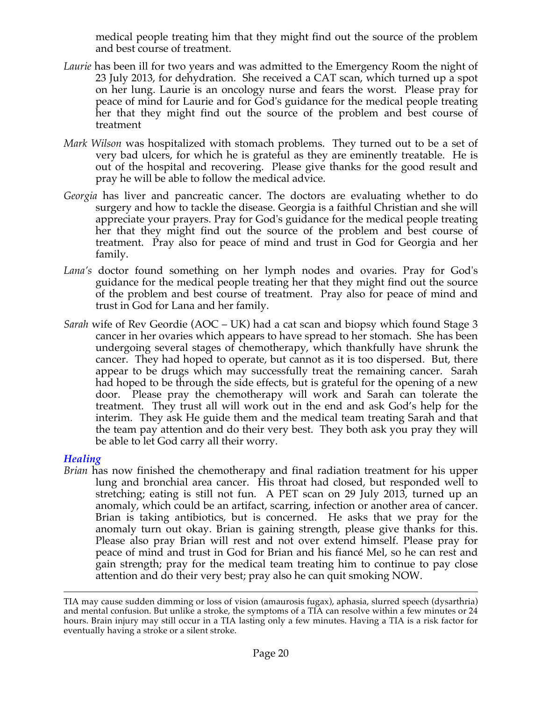medical people treating him that they might find out the source of the problem and best course of treatment.

- *Laurie* has been ill for two years and was admitted to the Emergency Room the night of 23 July 2013, for dehydration. She received a CAT scan, which turned up a spot on her lung. Laurie is an oncology nurse and fears the worst. Please pray for peace of mind for Laurie and for God's guidance for the medical people treating her that they might find out the source of the problem and best course of treatment
- *Mark Wilson* was hospitalized with stomach problems. They turned out to be a set of very bad ulcers, for which he is grateful as they are eminently treatable. He is out of the hospital and recovering. Please give thanks for the good result and pray he will be able to follow the medical advice.
- *Georgia* has liver and pancreatic cancer. The doctors are evaluating whether to do surgery and how to tackle the disease. Georgia is a faithful Christian and she will appreciate your prayers. Pray for God's guidance for the medical people treating her that they might find out the source of the problem and best course of treatment. Pray also for peace of mind and trust in God for Georgia and her family.
- *Lana's* doctor found something on her lymph nodes and ovaries. Pray for God's guidance for the medical people treating her that they might find out the source of the problem and best course of treatment. Pray also for peace of mind and trust in God for Lana and her family.
- *Sarah* wife of Rev Geordie (AOC UK) had a cat scan and biopsy which found Stage 3 cancer in her ovaries which appears to have spread to her stomach. She has been undergoing several stages of chemotherapy, which thankfully have shrunk the cancer. They had hoped to operate, but cannot as it is too dispersed. But, there appear to be drugs which may successfully treat the remaining cancer. Sarah had hoped to be through the side effects, but is grateful for the opening of a new door. Please pray the chemotherapy will work and Sarah can tolerate the treatment. They trust all will work out in the end and ask God's help for the interim. They ask He guide them and the medical team treating Sarah and that the team pay attention and do their very best. They both ask you pray they will be able to let God carry all their worry.

# *Healing*

*Brian* has now finished the chemotherapy and final radiation treatment for his upper lung and bronchial area cancer. His throat had closed, but responded well to stretching; eating is still not fun. A PET scan on 29 July 2013, turned up an anomaly, which could be an artifact, scarring, infection or another area of cancer. Brian is taking antibiotics, but is concerned. He asks that we pray for the anomaly turn out okay. Brian is gaining strength, please give thanks for this. Please also pray Brian will rest and not over extend himself. Please pray for peace of mind and trust in God for Brian and his fiancé Mel, so he can rest and gain strength; pray for the medical team treating him to continue to pay close attention and do their very best; pray also he can quit smoking NOW.

TIA may cause sudden dimming or loss of vision (amaurosis fugax), aphasia, slurred speech (dysarthria) and mental confusion. But unlike a stroke, the symptoms of a TIA can resolve within a few minutes or 24 hours. Brain injury may still occur in a TIA lasting only a few minutes. Having a TIA is a risk factor for eventually having a stroke or a silent stroke.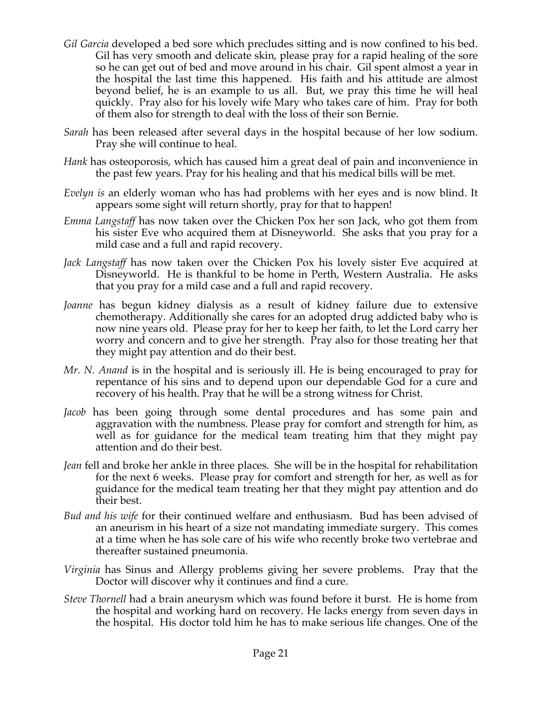- *Gil Garcia* developed a bed sore which precludes sitting and is now confined to his bed. Gil has very smooth and delicate skin, please pray for a rapid healing of the sore so he can get out of bed and move around in his chair. Gil spent almost a year in the hospital the last time this happened. His faith and his attitude are almost beyond belief, he is an example to us all. But, we pray this time he will heal quickly. Pray also for his lovely wife Mary who takes care of him. Pray for both of them also for strength to deal with the loss of their son Bernie.
- *Sarah* has been released after several days in the hospital because of her low sodium. Pray she will continue to heal.
- *Hank* has osteoporosis, which has caused him a great deal of pain and inconvenience in the past few years. Pray for his healing and that his medical bills will be met.
- *Evelyn is* an elderly woman who has had problems with her eyes and is now blind. It appears some sight will return shortly, pray for that to happen!
- *Emma Langstaff* has now taken over the Chicken Pox her son Jack, who got them from his sister Eve who acquired them at Disneyworld. She asks that you pray for a mild case and a full and rapid recovery.
- *Jack Langstaff* has now taken over the Chicken Pox his lovely sister Eve acquired at Disneyworld. He is thankful to be home in Perth, Western Australia. He asks that you pray for a mild case and a full and rapid recovery.
- *Joanne* has begun kidney dialysis as a result of kidney failure due to extensive chemotherapy. Additionally she cares for an adopted drug addicted baby who is now nine years old. Please pray for her to keep her faith, to let the Lord carry her worry and concern and to give her strength. Pray also for those treating her that they might pay attention and do their best.
- *Mr. N. Anand* is in the hospital and is seriously ill. He is being encouraged to pray for repentance of his sins and to depend upon our dependable God for a cure and recovery of his health. Pray that he will be a strong witness for Christ.
- *Jacob* has been going through some dental procedures and has some pain and aggravation with the numbness. Please pray for comfort and strength for him, as well as for guidance for the medical team treating him that they might pay attention and do their best.
- *Jean* fell and broke her ankle in three places. She will be in the hospital for rehabilitation for the next 6 weeks. Please pray for comfort and strength for her, as well as for guidance for the medical team treating her that they might pay attention and do their best.
- *Bud and his wife* for their continued welfare and enthusiasm. Bud has been advised of an aneurism in his heart of a size not mandating immediate surgery. This comes at a time when he has sole care of his wife who recently broke two vertebrae and thereafter sustained pneumonia.
- *Virginia* has Sinus and Allergy problems giving her severe problems. Pray that the Doctor will discover why it continues and find a cure.
- *Steve Thornell* had a brain aneurysm which was found before it burst. He is home from the hospital and working hard on recovery. He lacks energy from seven days in the hospital. His doctor told him he has to make serious life changes. One of the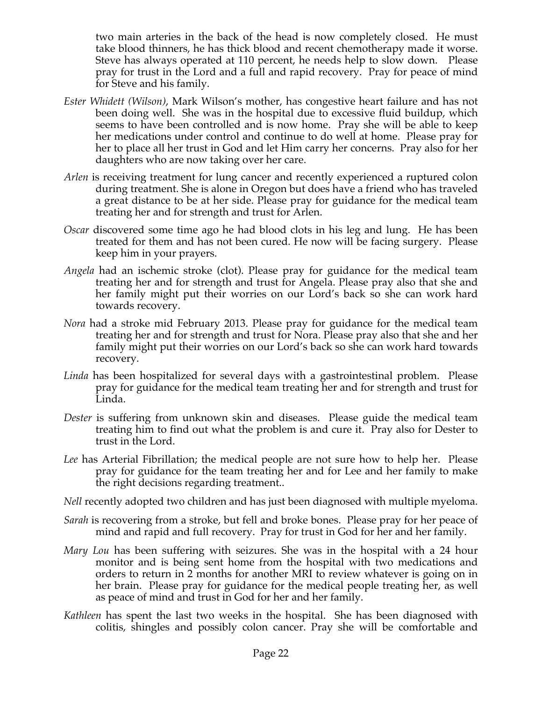two main arteries in the back of the head is now completely closed. He must take blood thinners, he has thick blood and recent chemotherapy made it worse. Steve has always operated at 110 percent, he needs help to slow down. Please pray for trust in the Lord and a full and rapid recovery. Pray for peace of mind for Steve and his family.

- *Ester Whidett (Wilson)*, Mark Wilson's mother, has congestive heart failure and has not been doing well. She was in the hospital due to excessive fluid buildup, which seems to have been controlled and is now home. Pray she will be able to keep her medications under control and continue to do well at home. Please pray for her to place all her trust in God and let Him carry her concerns. Pray also for her daughters who are now taking over her care.
- *Arlen* is receiving treatment for lung cancer and recently experienced a ruptured colon during treatment. She is alone in Oregon but does have a friend who has traveled a great distance to be at her side. Please pray for guidance for the medical team treating her and for strength and trust for Arlen.
- *Oscar* discovered some time ago he had blood clots in his leg and lung. He has been treated for them and has not been cured. He now will be facing surgery. Please keep him in your prayers.
- *Angela* had an ischemic stroke (clot). Please pray for guidance for the medical team treating her and for strength and trust for Angela. Please pray also that she and her family might put their worries on our Lord's back so she can work hard towards recovery.
- *Nora* had a stroke mid February 2013. Please pray for guidance for the medical team treating her and for strength and trust for Nora. Please pray also that she and her family might put their worries on our Lord's back so she can work hard towards recovery.
- *Linda* has been hospitalized for several days with a gastrointestinal problem. Please pray for guidance for the medical team treating her and for strength and trust for Linda.
- *Dester* is suffering from unknown skin and diseases. Please guide the medical team treating him to find out what the problem is and cure it. Pray also for Dester to trust in the Lord.
- *Lee* has Arterial Fibrillation; the medical people are not sure how to help her. Please pray for guidance for the team treating her and for Lee and her family to make the right decisions regarding treatment..
- *Nell* recently adopted two children and has just been diagnosed with multiple myeloma.
- *Sarah* is recovering from a stroke, but fell and broke bones. Please pray for her peace of mind and rapid and full recovery. Pray for trust in God for her and her family.
- *Mary Lou* has been suffering with seizures. She was in the hospital with a 24 hour monitor and is being sent home from the hospital with two medications and orders to return in 2 months for another MRI to review whatever is going on in her brain. Please pray for guidance for the medical people treating her, as well as peace of mind and trust in God for her and her family.
- *Kathleen* has spent the last two weeks in the hospital. She has been diagnosed with colitis, shingles and possibly colon cancer. Pray she will be comfortable and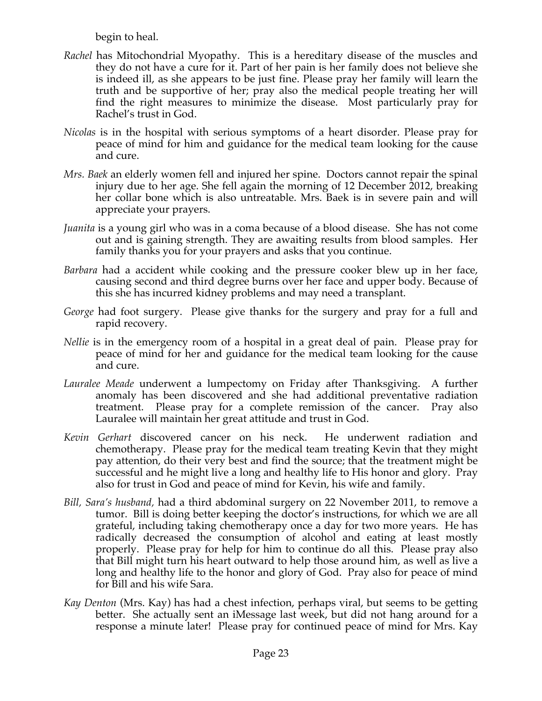begin to heal.

- *Rachel* has Mitochondrial Myopathy. This is a hereditary disease of the muscles and they do not have a cure for it. Part of her pain is her family does not believe she is indeed ill, as she appears to be just fine. Please pray her family will learn the truth and be supportive of her; pray also the medical people treating her will find the right measures to minimize the disease. Most particularly pray for Rachel's trust in God.
- *Nicolas* is in the hospital with serious symptoms of a heart disorder. Please pray for peace of mind for him and guidance for the medical team looking for the cause and cure.
- *Mrs. Baek* an elderly women fell and injured her spine. Doctors cannot repair the spinal injury due to her age. She fell again the morning of 12 December 2012, breaking her collar bone which is also untreatable. Mrs. Baek is in severe pain and will appreciate your prayers.
- *Juanita* is a young girl who was in a coma because of a blood disease. She has not come out and is gaining strength. They are awaiting results from blood samples. Her family thanks you for your prayers and asks that you continue.
- *Barbara* had a accident while cooking and the pressure cooker blew up in her face, causing second and third degree burns over her face and upper body. Because of this she has incurred kidney problems and may need a transplant.
- *George* had foot surgery. Please give thanks for the surgery and pray for a full and rapid recovery.
- *Nellie* is in the emergency room of a hospital in a great deal of pain. Please pray for peace of mind for her and guidance for the medical team looking for the cause and cure.
- *Lauralee Meade* underwent a lumpectomy on Friday after Thanksgiving. A further anomaly has been discovered and she had additional preventative radiation treatment. Please pray for a complete remission of the cancer. Pray also Lauralee will maintain her great attitude and trust in God.
- *Kevin Gerhart* discovered cancer on his neck. He underwent radiation and chemotherapy. Please pray for the medical team treating Kevin that they might pay attention, do their very best and find the source; that the treatment might be successful and he might live a long and healthy life to His honor and glory. Pray also for trust in God and peace of mind for Kevin, his wife and family.
- *Bill, Sara's husband,* had a third abdominal surgery on 22 November 2011, to remove a tumor. Bill is doing better keeping the doctor's instructions, for which we are all grateful, including taking chemotherapy once a day for two more years. He has radically decreased the consumption of alcohol and eating at least mostly properly. Please pray for help for him to continue do all this. Please pray also that Bill might turn his heart outward to help those around him, as well as live a long and healthy life to the honor and glory of God. Pray also for peace of mind for Bill and his wife Sara.
- *Kay Denton* (Mrs. Kay) has had a chest infection, perhaps viral, but seems to be getting better. She actually sent an iMessage last week, but did not hang around for a response a minute later! Please pray for continued peace of mind for Mrs. Kay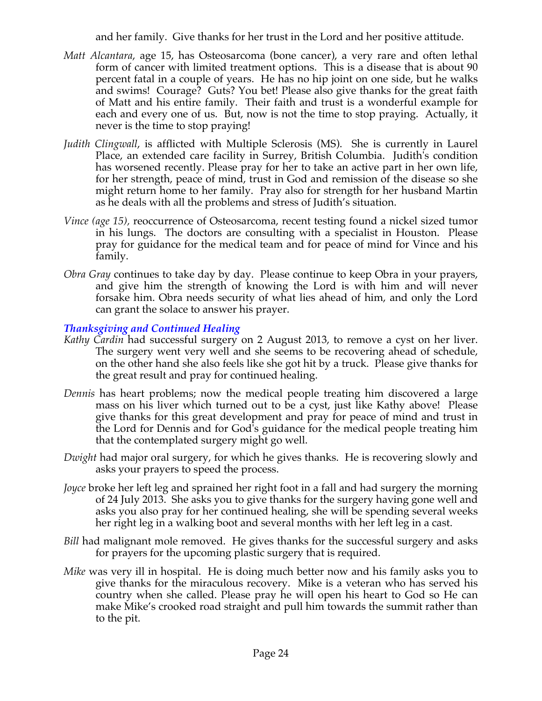and her family. Give thanks for her trust in the Lord and her positive attitude.

- *Matt Alcantara*, age 15, has Osteosarcoma (bone cancer), a very rare and often lethal form of cancer with limited treatment options. This is a disease that is about 90 percent fatal in a couple of years. He has no hip joint on one side, but he walks and swims! Courage? Guts? You bet! Please also give thanks for the great faith of Matt and his entire family. Their faith and trust is a wonderful example for each and every one of us. But, now is not the time to stop praying. Actually, it never is the time to stop praying!
- *Judith Clingwall*, is afflicted with Multiple Sclerosis (MS). She is currently in Laurel Place, an extended care facility in Surrey, British Columbia. Judith's condition has worsened recently. Please pray for her to take an active part in her own life, for her strength, peace of mind, trust in God and remission of the disease so she might return home to her family. Pray also for strength for her husband Martin as he deals with all the problems and stress of Judith's situation.
- *Vince (age 15),* reoccurrence of Osteosarcoma, recent testing found a nickel sized tumor in his lungs. The doctors are consulting with a specialist in Houston. Please pray for guidance for the medical team and for peace of mind for Vince and his family.
- *Obra Gray* continues to take day by day. Please continue to keep Obra in your prayers, and give him the strength of knowing the Lord is with him and will never forsake him. Obra needs security of what lies ahead of him, and only the Lord can grant the solace to answer his prayer.

# *Thanksgiving and Continued Healing*

- *Kathy Cardin* had successful surgery on 2 August 2013, to remove a cyst on her liver. The surgery went very well and she seems to be recovering ahead of schedule, on the other hand she also feels like she got hit by a truck. Please give thanks for the great result and pray for continued healing.
- *Dennis* has heart problems; now the medical people treating him discovered a large mass on his liver which turned out to be a cyst, just like Kathy above! Please give thanks for this great development and pray for peace of mind and trust in the Lord for Dennis and for God's guidance for the medical people treating him that the contemplated surgery might go well.
- *Dwight* had major oral surgery, for which he gives thanks. He is recovering slowly and asks your prayers to speed the process.
- *Joyce* broke her left leg and sprained her right foot in a fall and had surgery the morning of 24 July 2013. She asks you to give thanks for the surgery having gone well and asks you also pray for her continued healing, she will be spending several weeks her right leg in a walking boot and several months with her left leg in a cast.
- *Bill* had malignant mole removed. He gives thanks for the successful surgery and asks for prayers for the upcoming plastic surgery that is required.
- *Mike* was very ill in hospital. He is doing much better now and his family asks you to give thanks for the miraculous recovery. Mike is a veteran who has served his country when she called. Please pray he will open his heart to God so He can make Mike's crooked road straight and pull him towards the summit rather than to the pit.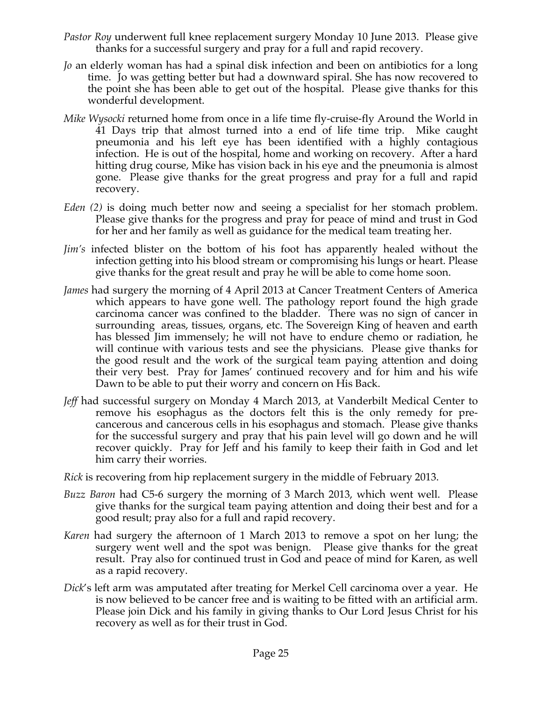- *Pastor Roy* underwent full knee replacement surgery Monday 10 June 2013. Please give thanks for a successful surgery and pray for a full and rapid recovery.
- *Jo* an elderly woman has had a spinal disk infection and been on antibiotics for a long time. Jo was getting better but had a downward spiral. She has now recovered to the point she has been able to get out of the hospital. Please give thanks for this wonderful development.
- *Mike Wysocki* returned home from once in a life time fly-cruise-fly Around the World in 41 Days trip that almost turned into a end of life time trip. Mike caught pneumonia and his left eye has been identified with a highly contagious infection. He is out of the hospital, home and working on recovery. After a hard hitting drug course, Mike has vision back in his eye and the pneumonia is almost gone. Please give thanks for the great progress and pray for a full and rapid recovery.
- *Eden (2)* is doing much better now and seeing a specialist for her stomach problem. Please give thanks for the progress and pray for peace of mind and trust in God for her and her family as well as guidance for the medical team treating her.
- *Jim's* infected blister on the bottom of his foot has apparently healed without the infection getting into his blood stream or compromising his lungs or heart. Please give thanks for the great result and pray he will be able to come home soon.
- *James* had surgery the morning of 4 April 2013 at Cancer Treatment Centers of America which appears to have gone well. The pathology report found the high grade carcinoma cancer was confined to the bladder. There was no sign of cancer in surrounding areas, tissues, organs, etc. The Sovereign King of heaven and earth has blessed Jim immensely; he will not have to endure chemo or radiation, he will continue with various tests and see the physicians. Please give thanks for the good result and the work of the surgical team paying attention and doing their very best. Pray for James' continued recovery and for him and his wife Dawn to be able to put their worry and concern on His Back.
- *Jeff* had successful surgery on Monday 4 March 2013, at Vanderbilt Medical Center to remove his esophagus as the doctors felt this is the only remedy for precancerous and cancerous cells in his esophagus and stomach. Please give thanks for the successful surgery and pray that his pain level will go down and he will recover quickly. Pray for Jeff and his family to keep their faith in God and let him carry their worries.
- *Rick* is recovering from hip replacement surgery in the middle of February 2013.
- *Buzz Baron* had C5-6 surgery the morning of 3 March 2013, which went well. Please give thanks for the surgical team paying attention and doing their best and for a good result; pray also for a full and rapid recovery.
- *Karen* had surgery the afternoon of 1 March 2013 to remove a spot on her lung; the surgery went well and the spot was benign. Please give thanks for the great result. Pray also for continued trust in God and peace of mind for Karen, as well as a rapid recovery.
- *Dick*'s left arm was amputated after treating for Merkel Cell carcinoma over a year. He is now believed to be cancer free and is waiting to be fitted with an artificial arm. Please join Dick and his family in giving thanks to Our Lord Jesus Christ for his recovery as well as for their trust in God.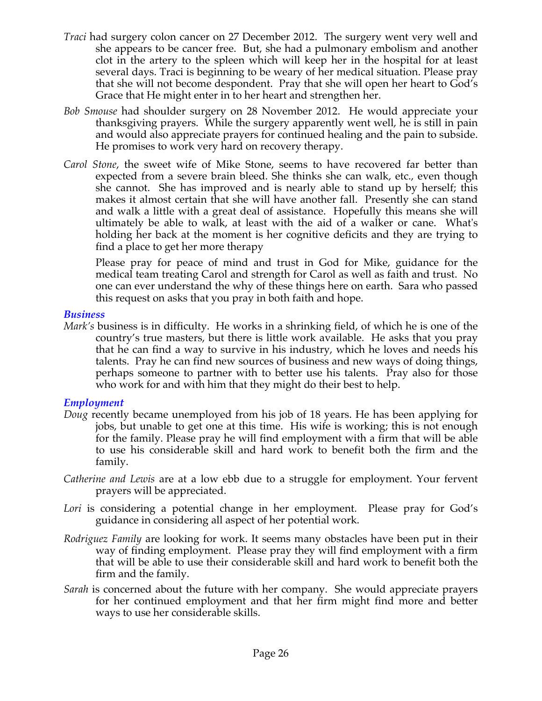- *Traci* had surgery colon cancer on 27 December 2012. The surgery went very well and she appears to be cancer free. But, she had a pulmonary embolism and another clot in the artery to the spleen which will keep her in the hospital for at least several days. Traci is beginning to be weary of her medical situation. Please pray that she will not become despondent. Pray that she will open her heart to God's Grace that He might enter in to her heart and strengthen her.
- *Bob Smouse* had shoulder surgery on 28 November 2012. He would appreciate your thanksgiving prayers. While the surgery apparently went well, he is still in pain and would also appreciate prayers for continued healing and the pain to subside. He promises to work very hard on recovery therapy.
- *Carol Stone*, the sweet wife of Mike Stone, seems to have recovered far better than expected from a severe brain bleed. She thinks she can walk, etc., even though she cannot. She has improved and is nearly able to stand up by herself; this makes it almost certain that she will have another fall. Presently she can stand and walk a little with a great deal of assistance. Hopefully this means she will ultimately be able to walk, at least with the aid of a walker or cane. What's holding her back at the moment is her cognitive deficits and they are trying to find a place to get her more therapy

Please pray for peace of mind and trust in God for Mike, guidance for the medical team treating Carol and strength for Carol as well as faith and trust. No one can ever understand the why of these things here on earth. Sara who passed this request on asks that you pray in both faith and hope.

### *Business*

*Mark's* business is in difficulty. He works in a shrinking field, of which he is one of the country's true masters, but there is little work available. He asks that you pray that he can find a way to survive in his industry, which he loves and needs his talents. Pray he can find new sources of business and new ways of doing things, perhaps someone to partner with to better use his talents. Pray also for those who work for and with him that they might do their best to help.

### *Employment*

- *Doug* recently became unemployed from his job of 18 years. He has been applying for jobs, but unable to get one at this time. His wife is working; this is not enough for the family. Please pray he will find employment with a firm that will be able to use his considerable skill and hard work to benefit both the firm and the family.
- *Catherine and Lewis* are at a low ebb due to a struggle for employment. Your fervent prayers will be appreciated.
- Lori is considering a potential change in her employment. Please pray for God's guidance in considering all aspect of her potential work.
- *Rodriguez Family* are looking for work. It seems many obstacles have been put in their way of finding employment. Please pray they will find employment with a firm that will be able to use their considerable skill and hard work to benefit both the firm and the family.
- *Sarah* is concerned about the future with her company. She would appreciate prayers for her continued employment and that her firm might find more and better ways to use her considerable skills.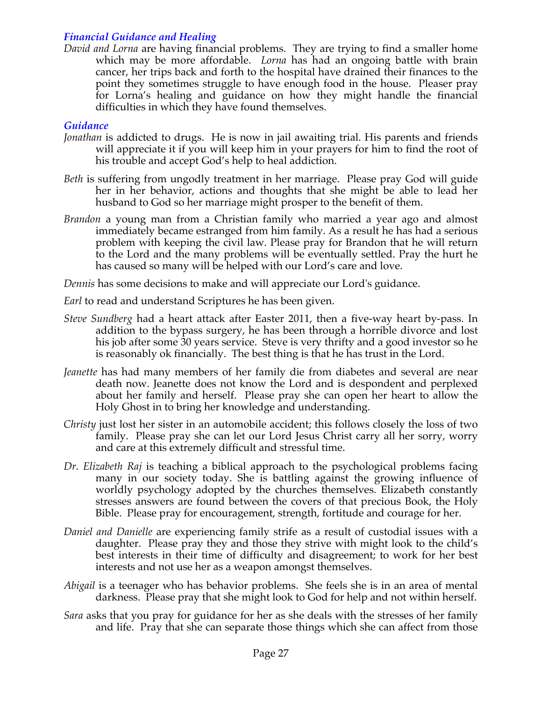# *Financial Guidance and Healing*

*David and Lorna* are having financial problems. They are trying to find a smaller home which may be more affordable. *Lorna* has had an ongoing battle with brain cancer, her trips back and forth to the hospital have drained their finances to the point they sometimes struggle to have enough food in the house. Pleaser pray for Lorna's healing and guidance on how they might handle the financial difficulties in which they have found themselves.

### *Guidance*

- *Jonathan* is addicted to drugs. He is now in jail awaiting trial. His parents and friends will appreciate it if you will keep him in your prayers for him to find the root of his trouble and accept God's help to heal addiction.
- *Beth* is suffering from ungodly treatment in her marriage. Please pray God will guide her in her behavior, actions and thoughts that she might be able to lead her husband to God so her marriage might prosper to the benefit of them.
- *Brandon* a young man from a Christian family who married a year ago and almost immediately became estranged from him family. As a result he has had a serious problem with keeping the civil law. Please pray for Brandon that he will return to the Lord and the many problems will be eventually settled. Pray the hurt he has caused so many will be helped with our Lord's care and love.

*Dennis* has some decisions to make and will appreciate our Lord's guidance.

- *Earl* to read and understand Scriptures he has been given.
- *Steve Sundberg* had a heart attack after Easter 2011, then a five-way heart by-pass. In addition to the bypass surgery, he has been through a horrible divorce and lost his job after some 30 years service. Steve is very thrifty and a good investor so he is reasonably ok financially. The best thing is that he has trust in the Lord.
- *Jeanette* has had many members of her family die from diabetes and several are near death now. Jeanette does not know the Lord and is despondent and perplexed about her family and herself. Please pray she can open her heart to allow the Holy Ghost in to bring her knowledge and understanding.
- *Christy* just lost her sister in an automobile accident; this follows closely the loss of two family. Please pray she can let our Lord Jesus Christ carry all her sorry, worry and care at this extremely difficult and stressful time.
- *Dr. Elizabeth Raj* is teaching a biblical approach to the psychological problems facing many in our society today. She is battling against the growing influence of worldly psychology adopted by the churches themselves. Elizabeth constantly stresses answers are found between the covers of that precious Book, the Holy Bible. Please pray for encouragement, strength, fortitude and courage for her.
- *Daniel and Danielle* are experiencing family strife as a result of custodial issues with a daughter. Please pray they and those they strive with might look to the child's best interests in their time of difficulty and disagreement; to work for her best interests and not use her as a weapon amongst themselves.
- *Abigail* is a teenager who has behavior problems. She feels she is in an area of mental darkness. Please pray that she might look to God for help and not within herself.
- *Sara* asks that you pray for guidance for her as she deals with the stresses of her family and life. Pray that she can separate those things which she can affect from those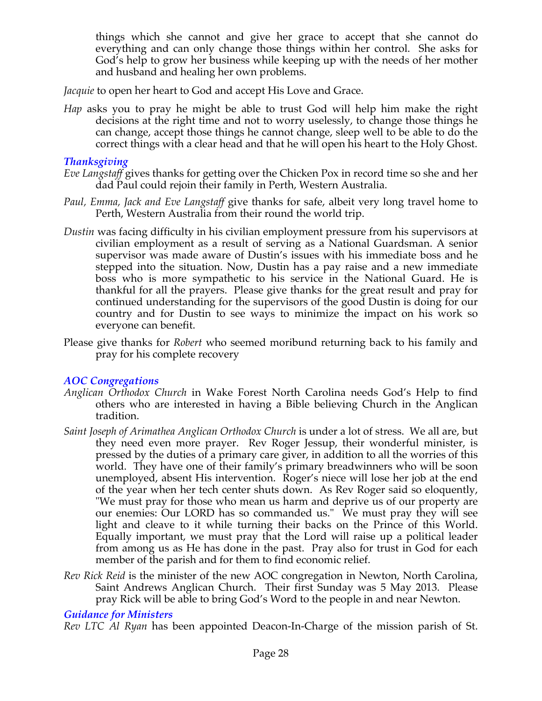things which she cannot and give her grace to accept that she cannot do everything and can only change those things within her control. She asks for God's help to grow her business while keeping up with the needs of her mother and husband and healing her own problems.

*Jacquie* to open her heart to God and accept His Love and Grace.

*Hap* asks you to pray he might be able to trust God will help him make the right decisions at the right time and not to worry uselessly, to change those things he can change, accept those things he cannot change, sleep well to be able to do the correct things with a clear head and that he will open his heart to the Holy Ghost.

### *Thanksgiving*

- *Eve Langstaff* gives thanks for getting over the Chicken Pox in record time so she and her dad Paul could rejoin their family in Perth, Western Australia.
- *Paul, Emma, Jack and Eve Langstaff* give thanks for safe, albeit very long travel home to Perth, Western Australia from their round the world trip.
- *Dustin* was facing difficulty in his civilian employment pressure from his supervisors at civilian employment as a result of serving as a National Guardsman. A senior supervisor was made aware of Dustin's issues with his immediate boss and he stepped into the situation. Now, Dustin has a pay raise and a new immediate boss who is more sympathetic to his service in the National Guard. He is thankful for all the prayers. Please give thanks for the great result and pray for continued understanding for the supervisors of the good Dustin is doing for our country and for Dustin to see ways to minimize the impact on his work so everyone can benefit.
- Please give thanks for *Robert* who seemed moribund returning back to his family and pray for his complete recovery

### *AOC Congregations*

- *Anglican Orthodox Church* in Wake Forest North Carolina needs God's Help to find others who are interested in having a Bible believing Church in the Anglican tradition.
- *Saint Joseph of Arimathea Anglican Orthodox Church* is under a lot of stress. We all are, but they need even more prayer. Rev Roger Jessup, their wonderful minister, is pressed by the duties of a primary care giver, in addition to all the worries of this world. They have one of their family's primary breadwinners who will be soon unemployed, absent His intervention. Roger's niece will lose her job at the end of the year when her tech center shuts down. As Rev Roger said so eloquently, "We must pray for those who mean us harm and deprive us of our property are our enemies: Our LORD has so commanded us." We must pray they will see light and cleave to it while turning their backs on the Prince of this World. Equally important, we must pray that the Lord will raise up a political leader from among us as He has done in the past. Pray also for trust in God for each member of the parish and for them to find economic relief.
- *Rev Rick Reid* is the minister of the new AOC congregation in Newton, North Carolina, Saint Andrews Anglican Church. Their first Sunday was 5 May 2013. Please pray Rick will be able to bring God's Word to the people in and near Newton.

### *Guidance for Ministers*

*Rev LTC Al Ryan* has been appointed Deacon-In-Charge of the mission parish of St.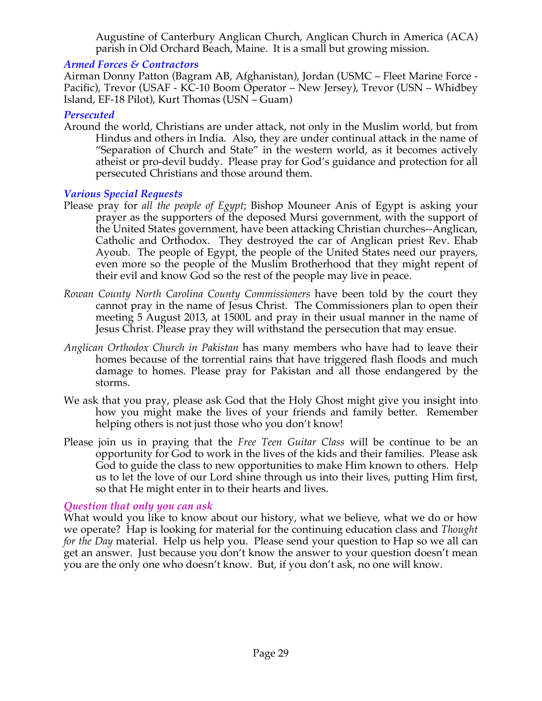Augustine of Canterbury Anglican Church, Anglican Church in America (ACA) parish in Old Orchard Beach, Maine. It is a small but growing mission.

## *Armed Forces & Contractors*

Airman Donny Patton (Bagram AB, Afghanistan), Jordan (USMC – Fleet Marine Force - Pacific), Trevor (USAF - KC-10 Boom Operator – New Jersey), Trevor (USN – Whidbey Island, EF-18 Pilot), Kurt Thomas (USN – Guam)

### *Persecuted*

Around the world, Christians are under attack, not only in the Muslim world, but from Hindus and others in India. Also, they are under continual attack in the name of "Separation of Church and State" in the western world, as it becomes actively atheist or pro-devil buddy. Please pray for God's guidance and protection for all persecuted Christians and those around them.

### *Various Special Requests*

- Please pray for *all the people of Egypt*; Bishop Mouneer Anis of Egypt is asking your prayer as the supporters of the deposed Mursi government, with the support of the United States government, have been attacking Christian churches--Anglican, Catholic and Orthodox. They destroyed the car of Anglican priest Rev. Ehab Ayoub. The people of Egypt, the people of the United States need our prayers, even more so the people of the Muslim Brotherhood that they might repent of their evil and know God so the rest of the people may live in peace.
- *Rowan County North Carolina County Commissioners* have been told by the court they cannot pray in the name of Jesus Christ. The Commissioners plan to open their meeting 5 August 2013, at 1500L and pray in their usual manner in the name of Jesus Christ. Please pray they will withstand the persecution that may ensue.
- *Anglican Orthodox Church in Pakistan* has many members who have had to leave their homes because of the torrential rains that have triggered flash floods and much damage to homes. Please pray for Pakistan and all those endangered by the storms.
- We ask that you pray, please ask God that the Holy Ghost might give you insight into how you might make the lives of your friends and family better. Remember helping others is not just those who you don't know!
- Please join us in praying that the *Free Teen Guitar Class* will be continue to be an opportunity for God to work in the lives of the kids and their families. Please ask God to guide the class to new opportunities to make Him known to others. Help us to let the love of our Lord shine through us into their lives, putting Him first, so that He might enter in to their hearts and lives.

# *Question that only you can ask*

What would you like to know about our history, what we believe, what we do or how we operate? Hap is looking for material for the continuing education class and *Thought for the Day* material. Help us help you. Please send your question to Hap so we all can get an answer. Just because you don't know the answer to your question doesn't mean you are the only one who doesn't know. But, if you don't ask, no one will know.